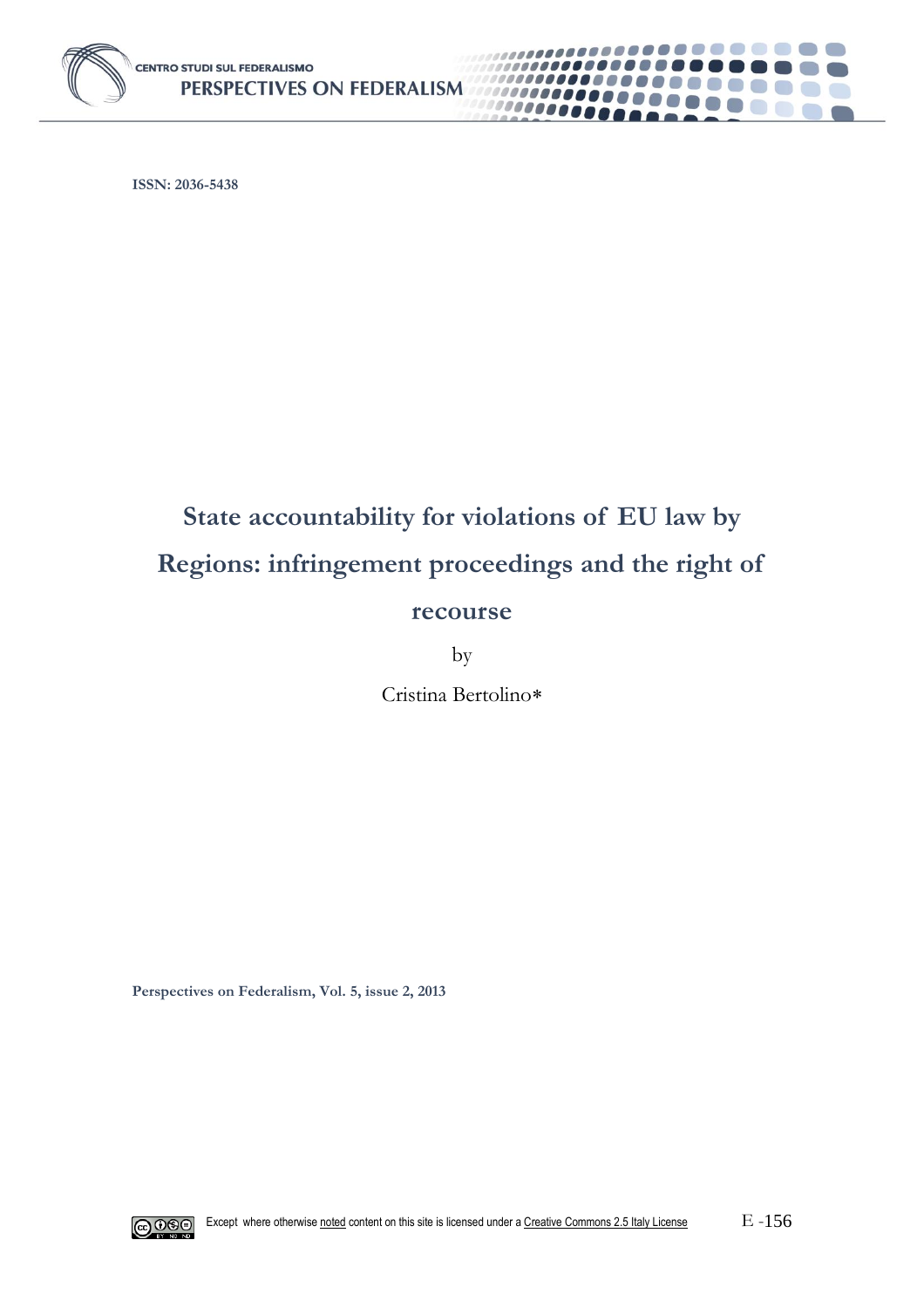

**ISSN: 2036-5438**

# **State accountability for violations of EU law by Regions: infringement proceedings and the right of recourse**

**........** 

6. 11

1000000000

10000000

by

Cristina Bertolino

**Perspectives on Federalism, Vol. 5, issue 2, 2013**

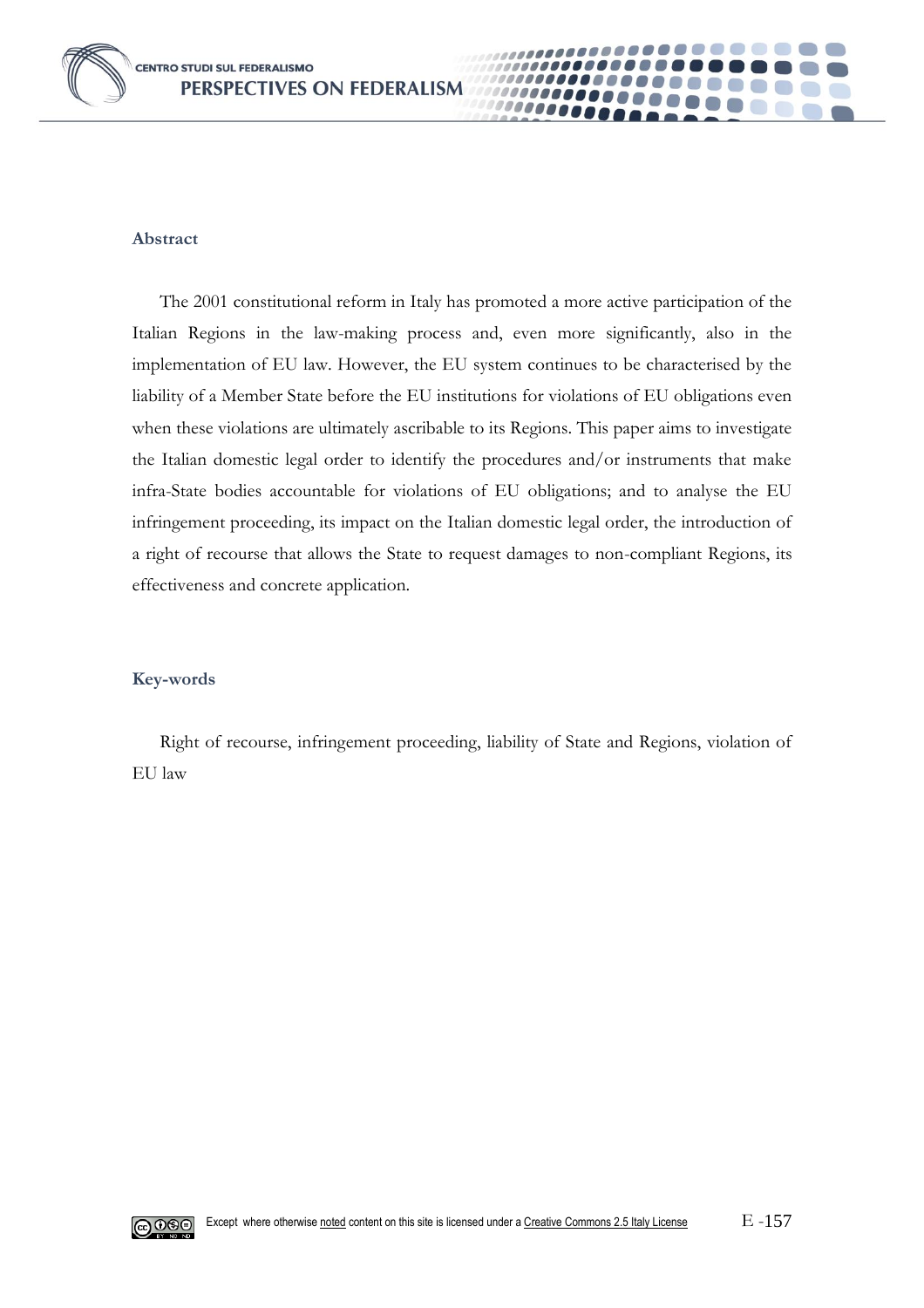

#### **Abstract**

The 2001 constitutional reform in Italy has promoted a more active participation of the Italian Regions in the law-making process and, even more significantly, also in the implementation of EU law. However, the EU system continues to be characterised by the liability of a Member State before the EU institutions for violations of EU obligations even when these violations are ultimately ascribable to its Regions. This paper aims to investigate the Italian domestic legal order to identify the procedures and/or instruments that make infra-State bodies accountable for violations of EU obligations; and to analyse the EU infringement proceeding, its impact on the Italian domestic legal order, the introduction of a right of recourse that allows the State to request damages to non-compliant Regions, its effectiveness and concrete application.

0000

### **Key-words**

Right of recourse, infringement proceeding, liability of State and Regions, violation of EU law

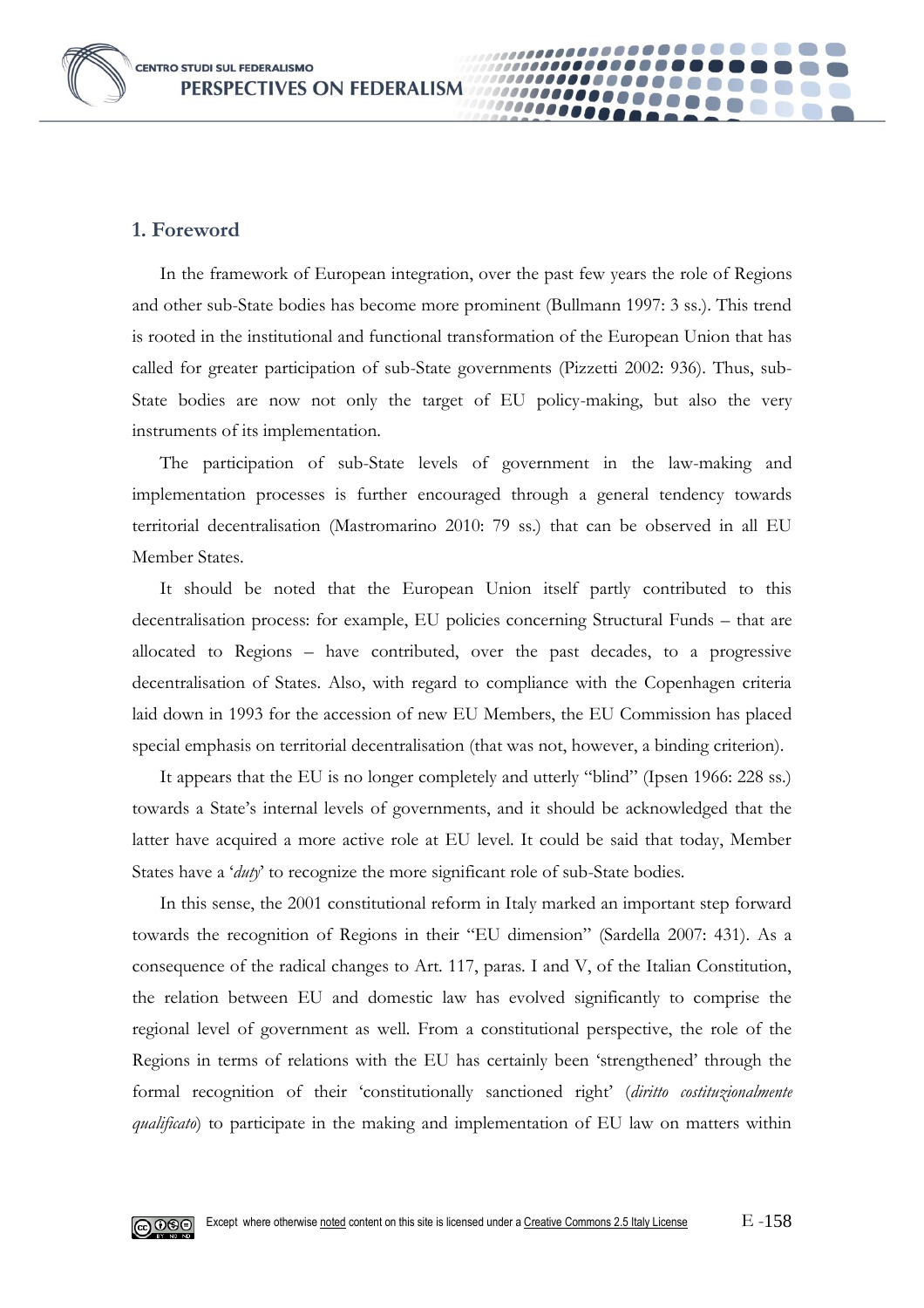**CENTRO STUDI SUL FEDERALISMO** PERSPECTIVES ON FEDERALISM

## **1. Foreword**

In the framework of European integration, over the past few years the role of Regions and other sub-State bodies has become more prominent (Bullmann 1997: 3 ss.). This trend is rooted in the institutional and functional transformation of the European Union that has called for greater participation of sub-State governments (Pizzetti 2002: 936). Thus, sub-State bodies are now not only the target of EU policy-making, but also the very instruments of its implementation.

0000

The participation of sub-State levels of government in the law-making and implementation processes is further encouraged through a general tendency towards territorial decentralisation (Mastromarino 2010: 79 ss.) that can be observed in all EU Member States.

It should be noted that the European Union itself partly contributed to this decentralisation process: for example, EU policies concerning Structural Funds – that are allocated to Regions – have contributed, over the past decades, to a progressive decentralisation of States. Also, with regard to compliance with the Copenhagen criteria laid down in 1993 for the accession of new EU Members, the EU Commission has placed special emphasis on territorial decentralisation (that was not, however, a binding criterion).

It appears that the EU is no longer completely and utterly "blind" (Ipsen 1966: 228 ss.) towards a State's internal levels of governments, and it should be acknowledged that the latter have acquired a more active role at EU level. It could be said that today, Member States have a '*duty*' to recognize the more significant role of sub-State bodies.

In this sense, the 2001 constitutional reform in Italy marked an important step forward towards the recognition of Regions in their "EU dimension" (Sardella 2007: 431). As a consequence of the radical changes to Art. 117, paras. I and V, of the Italian Constitution, the relation between EU and domestic law has evolved significantly to comprise the regional level of government as well. From a constitutional perspective, the role of the Regions in terms of relations with the EU has certainly been 'strengthened' through the formal recognition of their 'constitutionally sanctioned right' (*diritto costituzionalmente qualificato*) to participate in the making and implementation of EU law on matters within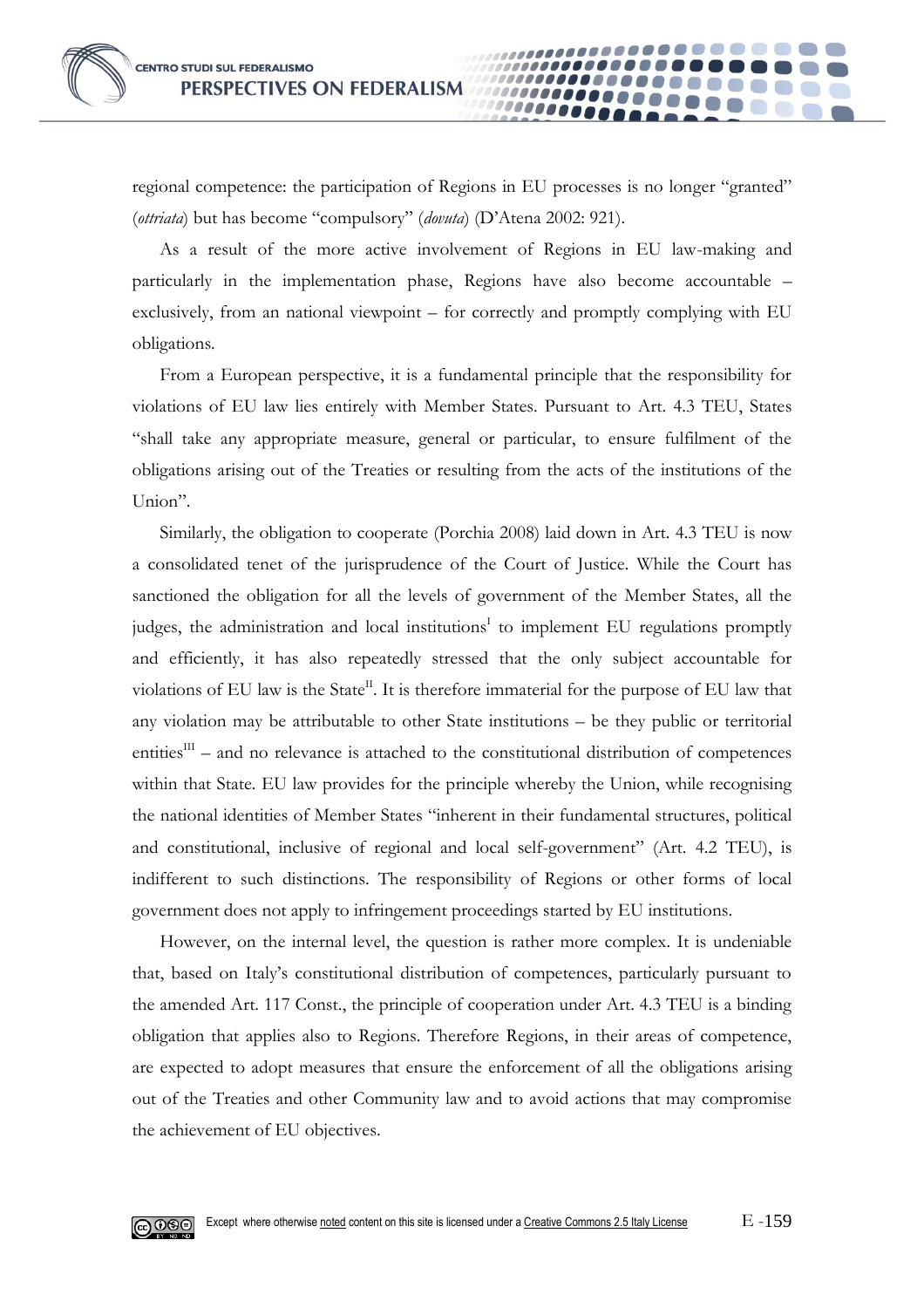regional competence: the participation of Regions in EU processes is no longer "granted" (*ottriata*) but has become "compulsory" (*dovuta*) (D'Atena 2002: 921).

00000

As a result of the more active involvement of Regions in EU law-making and particularly in the implementation phase, Regions have also become accountable – exclusively, from an national viewpoint – for correctly and promptly complying with EU obligations.

From a European perspective, it is a fundamental principle that the responsibility for violations of EU law lies entirely with Member States. Pursuant to Art. 4.3 TEU, States "shall take any appropriate measure, general or particular, to ensure fulfilment of the obligations arising out of the Treaties or resulting from the acts of the institutions of the Union".

Similarly, the obligation to cooperate (Porchia 2008) laid down in Art. 4.3 TEU is now a consolidated tenet of the jurisprudence of the Court of Justice. While the Court has sanctioned the obligation for all the levels of government of the Member States, all the judges, the administration and local institutions<sup>I</sup> to implement EU regulations promptly and efficiently, it has also repeatedly stressed that the only subject accountable for violations of EU law is the State<sup>II</sup>. It is therefore immaterial for the purpose of EU law that any violation may be attributable to other State institutions – be they public or territorial entities $I<sup>III</sup>$  – and no relevance is attached to the constitutional distribution of competences within that State. EU law provides for the principle whereby the Union, while recognising the national identities of Member States "inherent in their fundamental structures, political and constitutional, inclusive of regional and local self-government" (Art. 4.2 TEU), is indifferent to such distinctions. The responsibility of Regions or other forms of local government does not apply to infringement proceedings started by EU institutions.

However, on the internal level, the question is rather more complex. It is undeniable that, based on Italy's constitutional distribution of competences, particularly pursuant to the amended Art. 117 Const., the principle of cooperation under Art. 4.3 TEU is a binding obligation that applies also to Regions. Therefore Regions, in their areas of competence, are expected to adopt measures that ensure the enforcement of all the obligations arising out of the Treaties and other Community law and to avoid actions that may compromise the achievement of EU objectives.

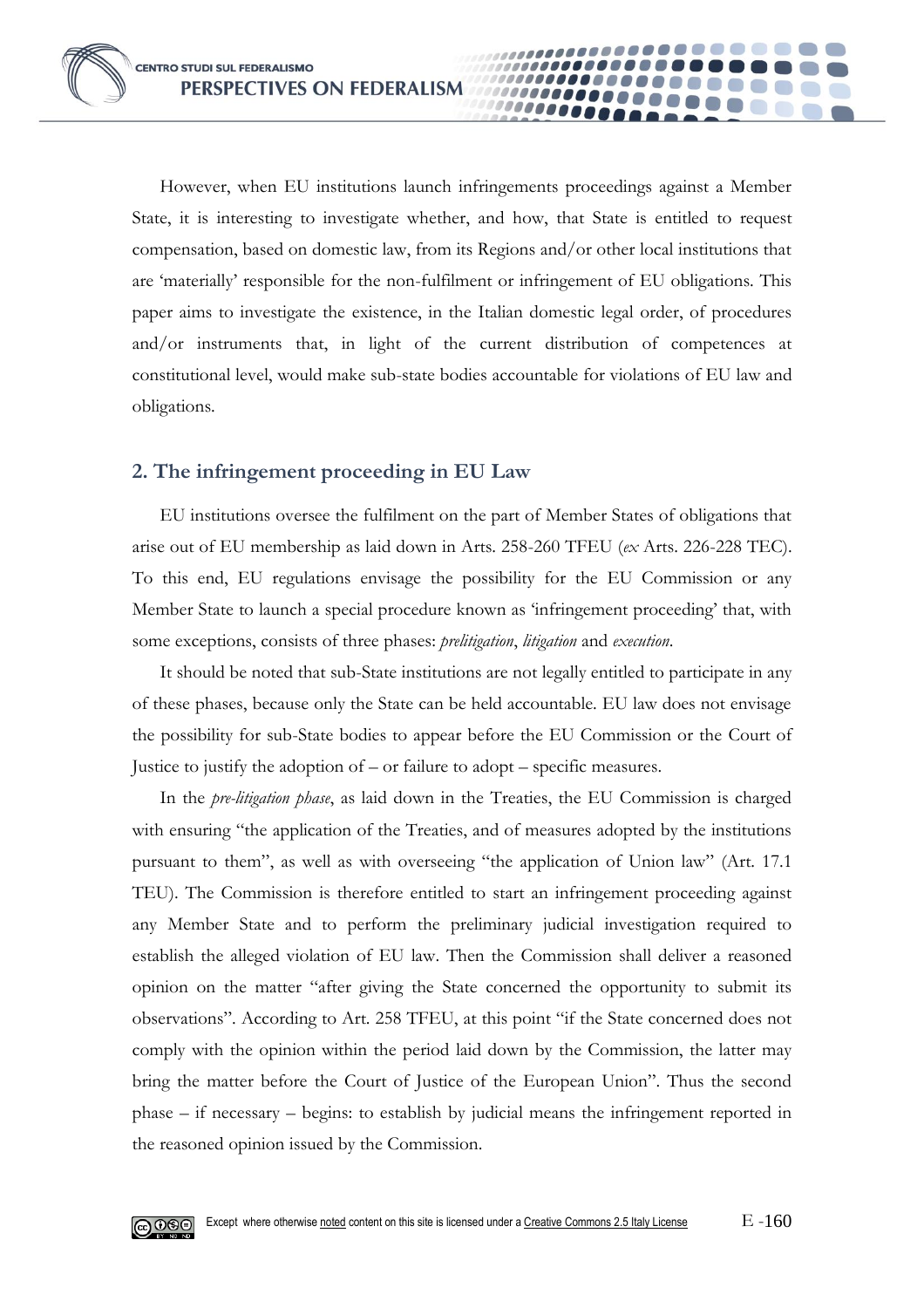However, when EU institutions launch infringements proceedings against a Member State, it is interesting to investigate whether, and how, that State is entitled to request compensation, based on domestic law, from its Regions and/or other local institutions that are 'materially' responsible for the non-fulfilment or infringement of EU obligations. This paper aims to investigate the existence, in the Italian domestic legal order, of procedures and/or instruments that, in light of the current distribution of competences at constitutional level, would make sub-state bodies accountable for violations of EU law and obligations.

**0000** 

## **2. The infringement proceeding in EU Law**

EU institutions oversee the fulfilment on the part of Member States of obligations that arise out of EU membership as laid down in Arts. 258-260 TFEU (*ex* Arts. 226-228 TEC). To this end, EU regulations envisage the possibility for the EU Commission or any Member State to launch a special procedure known as 'infringement proceeding' that, with some exceptions, consists of three phases: *prelitigation*, *litigation* and *execution*.

It should be noted that sub-State institutions are not legally entitled to participate in any of these phases, because only the State can be held accountable. EU law does not envisage the possibility for sub-State bodies to appear before the EU Commission or the Court of Justice to justify the adoption of – or failure to adopt – specific measures.

In the *pre-litigation phase*, as laid down in the Treaties, the EU Commission is charged with ensuring "the application of the Treaties, and of measures adopted by the institutions pursuant to them", as well as with overseeing "the application of Union law" (Art. 17.1 TEU). The Commission is therefore entitled to start an infringement proceeding against any Member State and to perform the preliminary judicial investigation required to establish the alleged violation of EU law. Then the Commission shall deliver a reasoned opinion on the matter "after giving the State concerned the opportunity to submit its observations". According to Art. 258 TFEU, at this point "if the State concerned does not comply with the opinion within the period laid down by the Commission, the latter may bring the matter before the Court of Justice of the European Union". Thus the second phase – if necessary – begins: to establish by judicial means the infringement reported in the reasoned opinion issued by the Commission.

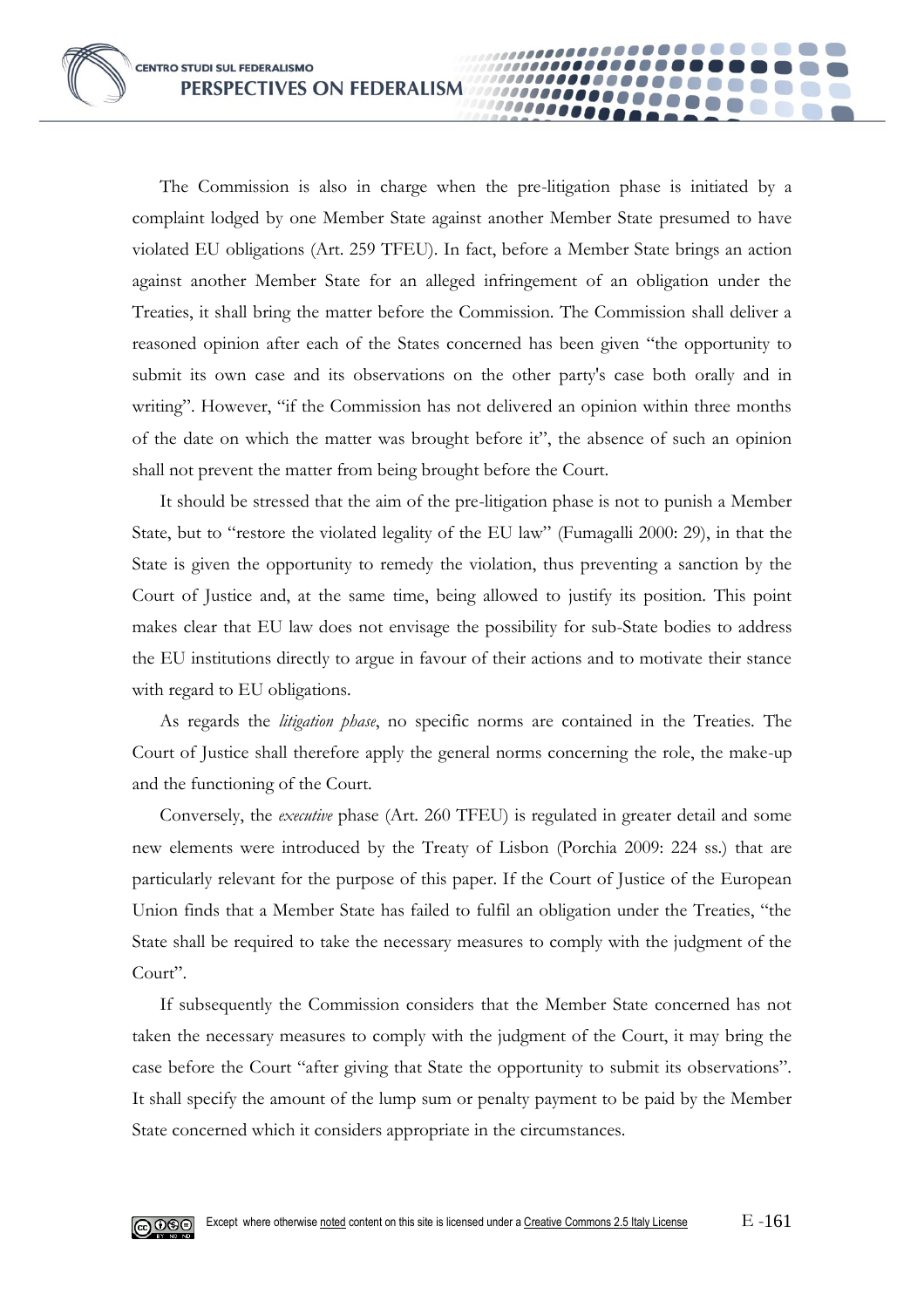The Commission is also in charge when the pre-litigation phase is initiated by a complaint lodged by one Member State against another Member State presumed to have violated EU obligations (Art. 259 TFEU). In fact, before a Member State brings an action against another Member State for an alleged infringement of an obligation under the Treaties, it shall bring the matter before the Commission. The Commission shall deliver a reasoned opinion after each of the States concerned has been given "the opportunity to submit its own case and its observations on the other party's case both orally and in writing". However, "if the Commission has not delivered an opinion within three months of the date on which the matter was brought before it", the absence of such an opinion shall not prevent the matter from being brought before the Court.

00000

It should be stressed that the aim of the pre-litigation phase is not to punish a Member State, but to "restore the violated legality of the EU law" (Fumagalli 2000: 29), in that the State is given the opportunity to remedy the violation, thus preventing a sanction by the Court of Justice and, at the same time, being allowed to justify its position. This point makes clear that EU law does not envisage the possibility for sub-State bodies to address the EU institutions directly to argue in favour of their actions and to motivate their stance with regard to EU obligations.

As regards the *litigation phase*, no specific norms are contained in the Treaties. The Court of Justice shall therefore apply the general norms concerning the role, the make-up and the functioning of the Court.

Conversely, the *executive* phase (Art. 260 TFEU) is regulated in greater detail and some new elements were introduced by the Treaty of Lisbon (Porchia 2009: 224 ss.) that are particularly relevant for the purpose of this paper. If the Court of Justice of the European Union finds that a Member State has failed to fulfil an obligation under the Treaties, "the State shall be required to take the necessary measures to comply with the judgment of the Court".

If subsequently the Commission considers that the Member State concerned has not taken the necessary measures to comply with the judgment of the Court, it may bring the case before the Court "after giving that State the opportunity to submit its observations". It shall specify the amount of the lump sum or penalty payment to be paid by the Member State concerned which it considers appropriate in the circumstances.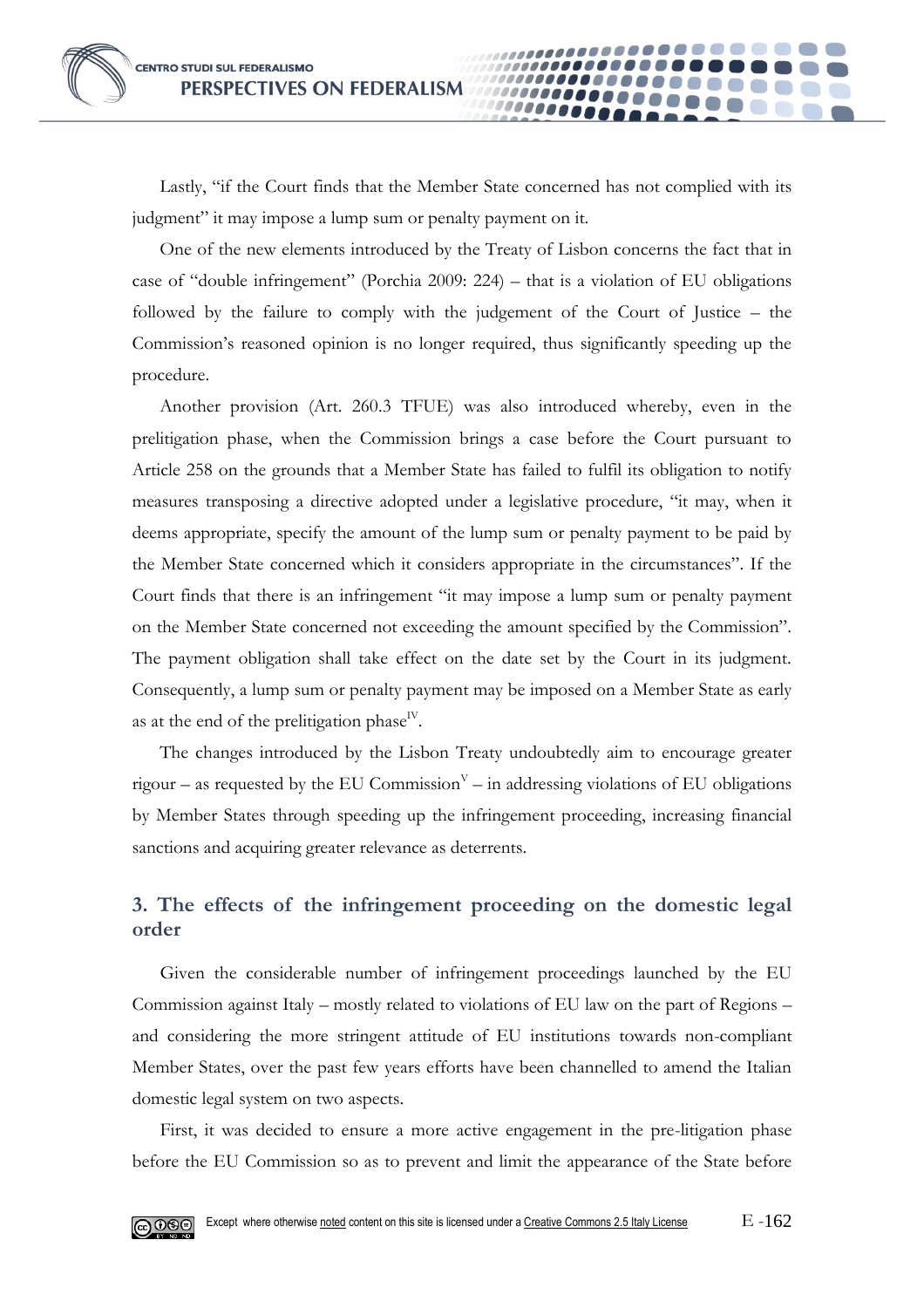Lastly, "if the Court finds that the Member State concerned has not complied with its judgment" it may impose a lump sum or penalty payment on it.

**0000** 

One of the new elements introduced by the Treaty of Lisbon concerns the fact that in case of "double infringement" (Porchia 2009: 224) – that is a violation of EU obligations followed by the failure to comply with the judgement of the Court of Justice – the Commission's reasoned opinion is no longer required, thus significantly speeding up the procedure.

Another provision (Art. 260.3 TFUE) was also introduced whereby, even in the prelitigation phase, when the Commission brings a case before the Court pursuant to Article 258 on the grounds that a Member State has failed to fulfil its obligation to notify measures transposing a directive adopted under a legislative procedure, "it may, when it deems appropriate, specify the amount of the lump sum or penalty payment to be paid by the Member State concerned which it considers appropriate in the circumstances". If the Court finds that there is an infringement "it may impose a lump sum or penalty payment on the Member State concerned not exceeding the amount specified by the Commission". The payment obligation shall take effect on the date set by the Court in its judgment. Consequently, a lump sum or penalty payment may be imposed on a Member State as early as at the end of the prelitigation phase<sup>IV</sup>.

The changes introduced by the Lisbon Treaty undoubtedly aim to encourage greater rigour – as requested by the EU Commission<sup> $V$ </sup> – in addressing violations of EU obligations by Member States through speeding up the infringement proceeding, increasing financial sanctions and acquiring greater relevance as deterrents.

## **3. The effects of the infringement proceeding on the domestic legal order**

Given the considerable number of infringement proceedings launched by the EU Commission against Italy – mostly related to violations of EU law on the part of Regions – and considering the more stringent attitude of EU institutions towards non-compliant Member States, over the past few years efforts have been channelled to amend the Italian domestic legal system on two aspects.

First, it was decided to ensure a more active engagement in the pre-litigation phase before the EU Commission so as to prevent and limit the appearance of the State before

© 0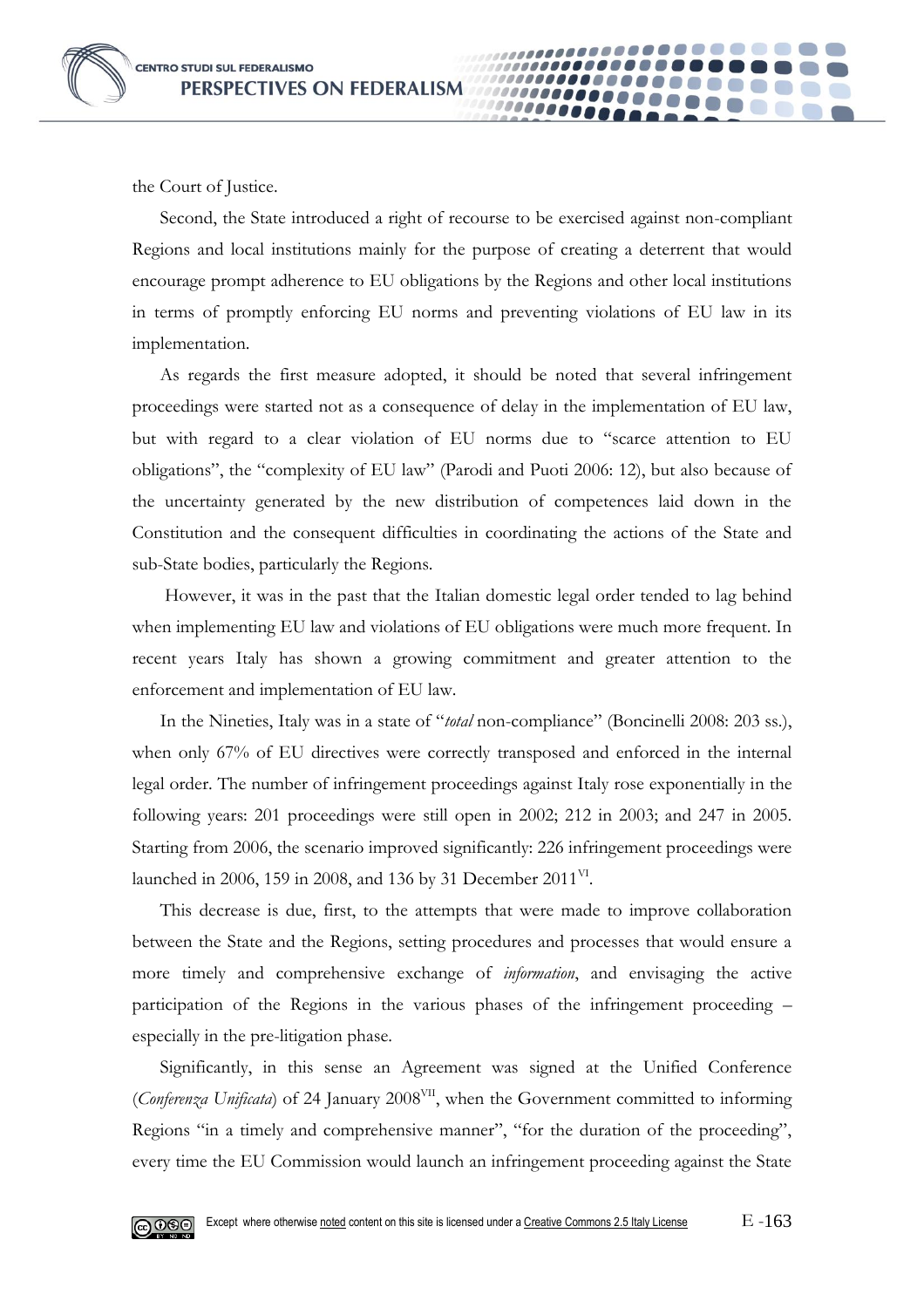the Court of Justice.

Second, the State introduced a right of recourse to be exercised against non-compliant Regions and local institutions mainly for the purpose of creating a deterrent that would encourage prompt adherence to EU obligations by the Regions and other local institutions in terms of promptly enforcing EU norms and preventing violations of EU law in its implementation.

00000

As regards the first measure adopted, it should be noted that several infringement proceedings were started not as a consequence of delay in the implementation of EU law, but with regard to a clear violation of EU norms due to "scarce attention to EU obligations", the "complexity of EU law" (Parodi and Puoti 2006: 12), but also because of the uncertainty generated by the new distribution of competences laid down in the Constitution and the consequent difficulties in coordinating the actions of the State and sub-State bodies, particularly the Regions.

However, it was in the past that the Italian domestic legal order tended to lag behind when implementing EU law and violations of EU obligations were much more frequent. In recent years Italy has shown a growing commitment and greater attention to the enforcement and implementation of EU law.

In the Nineties, Italy was in a state of "*total* non-compliance" (Boncinelli 2008: 203 ss.), when only 67% of EU directives were correctly transposed and enforced in the internal legal order. The number of infringement proceedings against Italy rose exponentially in the following years: 201 proceedings were still open in 2002; 212 in 2003; and 247 in 2005. Starting from 2006, the scenario improved significantly: 226 infringement proceedings were launched in 2006, 159 in 2008, and 136 by 31 December 2011<sup>VI</sup>.

This decrease is due, first, to the attempts that were made to improve collaboration between the State and the Regions, setting procedures and processes that would ensure a more timely and comprehensive exchange of *information*, and envisaging the active participation of the Regions in the various phases of the infringement proceeding – especially in the pre-litigation phase.

Significantly, in this sense an Agreement was signed at the Unified Conference (*Conferenza Unificata*) of 24 January 2008<sup>VII</sup>, when the Government committed to informing Regions "in a timely and comprehensive manner", "for the duration of the proceeding", every time the EU Commission would launch an infringement proceeding against the State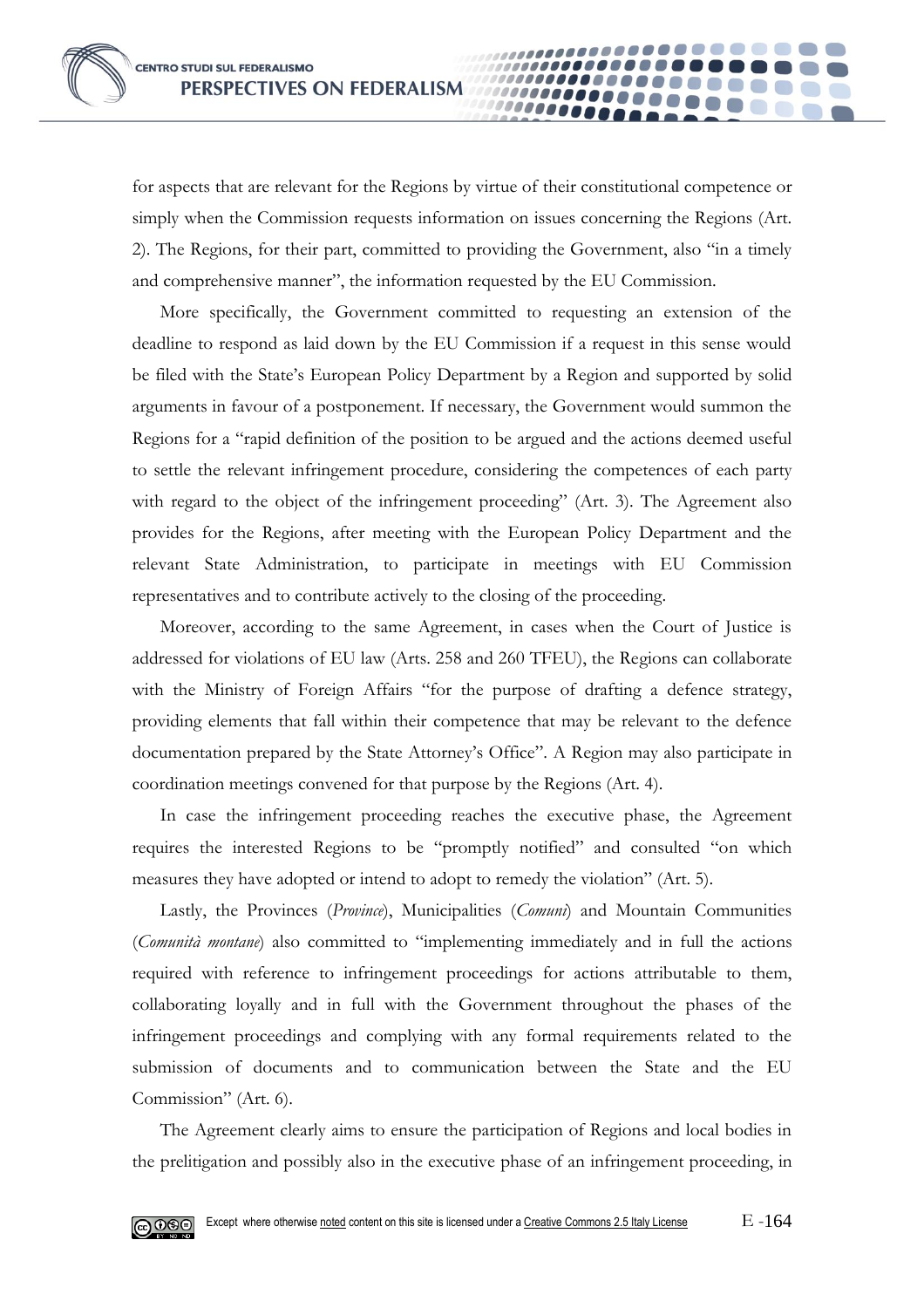for aspects that are relevant for the Regions by virtue of their constitutional competence or simply when the Commission requests information on issues concerning the Regions (Art. 2). The Regions, for their part, committed to providing the Government, also "in a timely and comprehensive manner", the information requested by the EU Commission.

00000

More specifically, the Government committed to requesting an extension of the deadline to respond as laid down by the EU Commission if a request in this sense would be filed with the State's European Policy Department by a Region and supported by solid arguments in favour of a postponement. If necessary, the Government would summon the Regions for a "rapid definition of the position to be argued and the actions deemed useful to settle the relevant infringement procedure, considering the competences of each party with regard to the object of the infringement proceeding" (Art. 3). The Agreement also provides for the Regions, after meeting with the European Policy Department and the relevant State Administration, to participate in meetings with EU Commission representatives and to contribute actively to the closing of the proceeding.

Moreover, according to the same Agreement, in cases when the Court of Justice is addressed for violations of EU law (Arts. 258 and 260 TFEU), the Regions can collaborate with the Ministry of Foreign Affairs "for the purpose of drafting a defence strategy, providing elements that fall within their competence that may be relevant to the defence documentation prepared by the State Attorney's Office". A Region may also participate in coordination meetings convened for that purpose by the Regions (Art. 4).

In case the infringement proceeding reaches the executive phase, the Agreement requires the interested Regions to be "promptly notified" and consulted "on which measures they have adopted or intend to adopt to remedy the violation" (Art. 5).

Lastly, the Provinces (*Province*), Municipalities (*Comuni*) and Mountain Communities (*Comunità montane*) also committed to "implementing immediately and in full the actions required with reference to infringement proceedings for actions attributable to them, collaborating loyally and in full with the Government throughout the phases of the infringement proceedings and complying with any formal requirements related to the submission of documents and to communication between the State and the EU Commission" (Art. 6).

The Agreement clearly aims to ensure the participation of Regions and local bodies in the prelitigation and possibly also in the executive phase of an infringement proceeding, in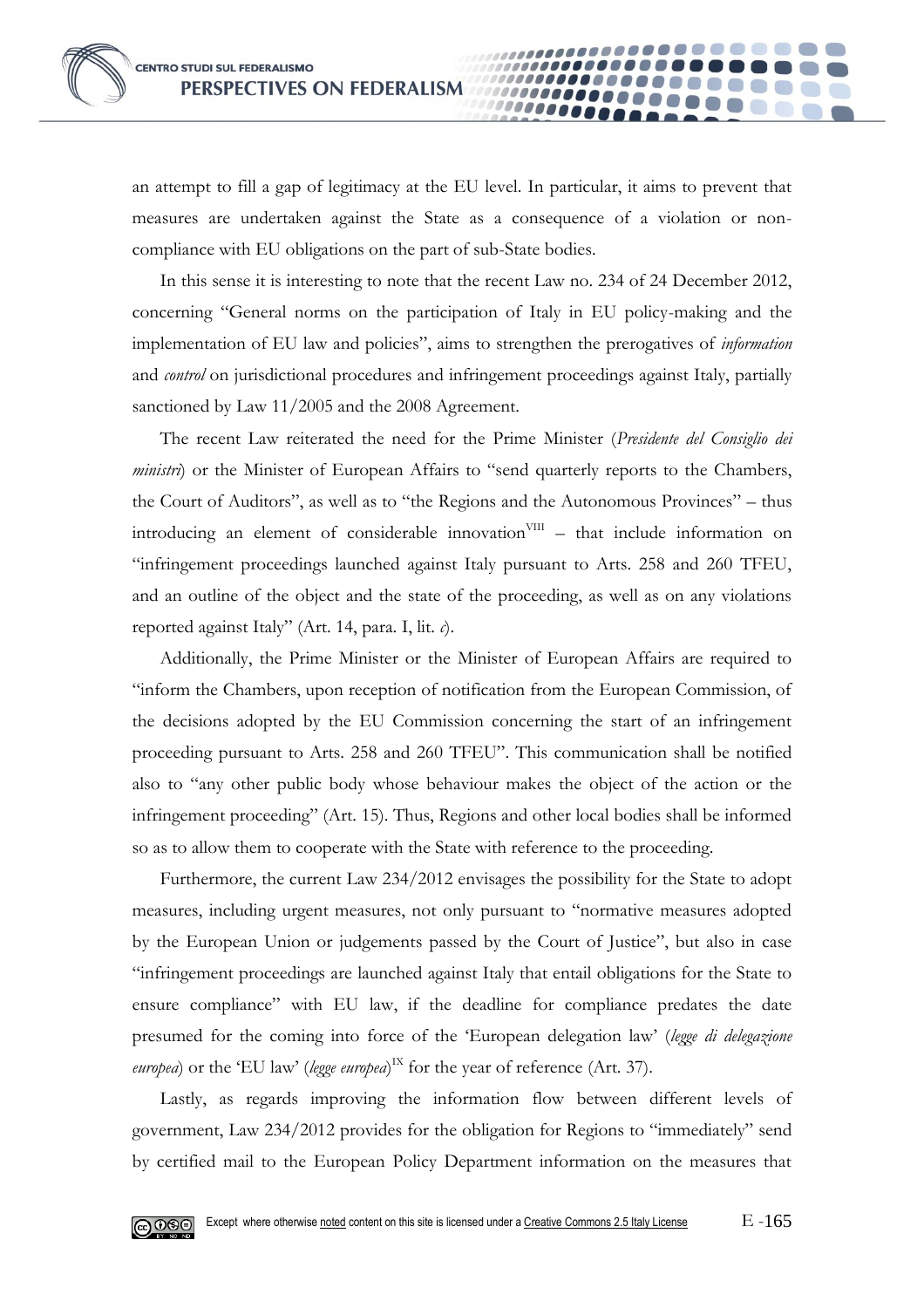an attempt to fill a gap of legitimacy at the EU level. In particular, it aims to prevent that measures are undertaken against the State as a consequence of a violation or noncompliance with EU obligations on the part of sub-State bodies.

00000

In this sense it is interesting to note that the recent Law no. 234 of 24 December 2012, concerning "General norms on the participation of Italy in EU policy-making and the implementation of EU law and policies", aims to strengthen the prerogatives of *information* and *control* on jurisdictional procedures and infringement proceedings against Italy, partially sanctioned by Law 11/2005 and the 2008 Agreement.

The recent Law reiterated the need for the Prime Minister (*Presidente del Consiglio dei ministri*) or the Minister of European Affairs to "send quarterly reports to the Chambers, the Court of Auditors", as well as to "the Regions and the Autonomous Provinces" – thus introducing an element of considerable innovation<sup>VIII</sup> - that include information on "infringement proceedings launched against Italy pursuant to Arts. 258 and 260 TFEU, and an outline of the object and the state of the proceeding, as well as on any violations reported against Italy" (Art. 14, para. I, lit. *c*).

Additionally, the Prime Minister or the Minister of European Affairs are required to "inform the Chambers, upon reception of notification from the European Commission, of the decisions adopted by the EU Commission concerning the start of an infringement proceeding pursuant to Arts. 258 and 260 TFEU". This communication shall be notified also to "any other public body whose behaviour makes the object of the action or the infringement proceeding" (Art. 15). Thus, Regions and other local bodies shall be informed so as to allow them to cooperate with the State with reference to the proceeding.

Furthermore, the current Law 234/2012 envisages the possibility for the State to adopt measures, including urgent measures, not only pursuant to "normative measures adopted by the European Union or judgements passed by the Court of Justice", but also in case "infringement proceedings are launched against Italy that entail obligations for the State to ensure compliance" with EU law, if the deadline for compliance predates the date presumed for the coming into force of the 'European delegation law' (*legge di delegazione*  europea) or the 'EU law' (legge europea)<sup>IX</sup> for the year of reference (Art. 37).

Lastly, as regards improving the information flow between different levels of government, Law 234/2012 provides for the obligation for Regions to "immediately" send by certified mail to the European Policy Department information on the measures that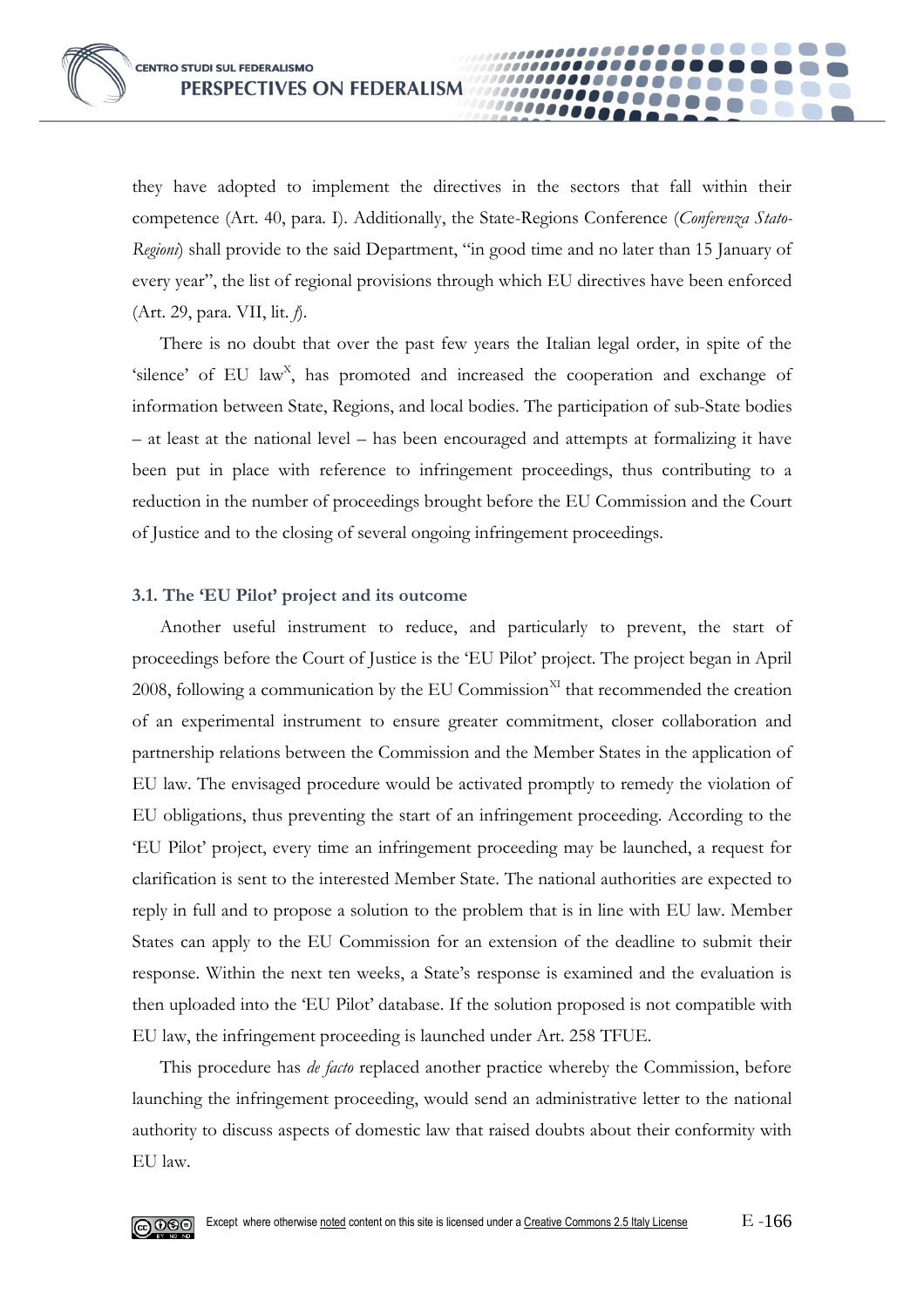they have adopted to implement the directives in the sectors that fall within their competence (Art. 40, para. I). Additionally, the State-Regions Conference (*Conferenza Stato-Regioni*) shall provide to the said Department, "in good time and no later than 15 January of every year", the list of regional provisions through which EU directives have been enforced (Art. 29, para. VII, lit. *f*).

**0000** 

There is no doubt that over the past few years the Italian legal order, in spite of the 'silence' of EU law<sup>x</sup>, has promoted and increased the cooperation and exchange of information between State, Regions, and local bodies. The participation of sub-State bodies – at least at the national level – has been encouraged and attempts at formalizing it have been put in place with reference to infringement proceedings, thus contributing to a reduction in the number of proceedings brought before the EU Commission and the Court of Justice and to the closing of several ongoing infringement proceedings.

#### **3.1. The 'EU Pilot' project and its outcome**

Another useful instrument to reduce, and particularly to prevent, the start of proceedings before the Court of Justice is the 'EU Pilot' project. The project began in April 2008, following a communication by the EU Commission $X<sup>XI</sup>$  that recommended the creation of an experimental instrument to ensure greater commitment, closer collaboration and partnership relations between the Commission and the Member States in the application of EU law. The envisaged procedure would be activated promptly to remedy the violation of EU obligations, thus preventing the start of an infringement proceeding. According to the 'EU Pilot' project, every time an infringement proceeding may be launched, a request for clarification is sent to the interested Member State. The national authorities are expected to reply in full and to propose a solution to the problem that is in line with EU law. Member States can apply to the EU Commission for an extension of the deadline to submit their response. Within the next ten weeks, a State's response is examined and the evaluation is then uploaded into the 'EU Pilot' database. If the solution proposed is not compatible with EU law, the infringement proceeding is launched under Art. 258 TFUE.

This procedure has *de facto* replaced another practice whereby the Commission, before launching the infringement proceeding, would send an administrative letter to the national authority to discuss aspects of domestic law that raised doubts about their conformity with EU law.

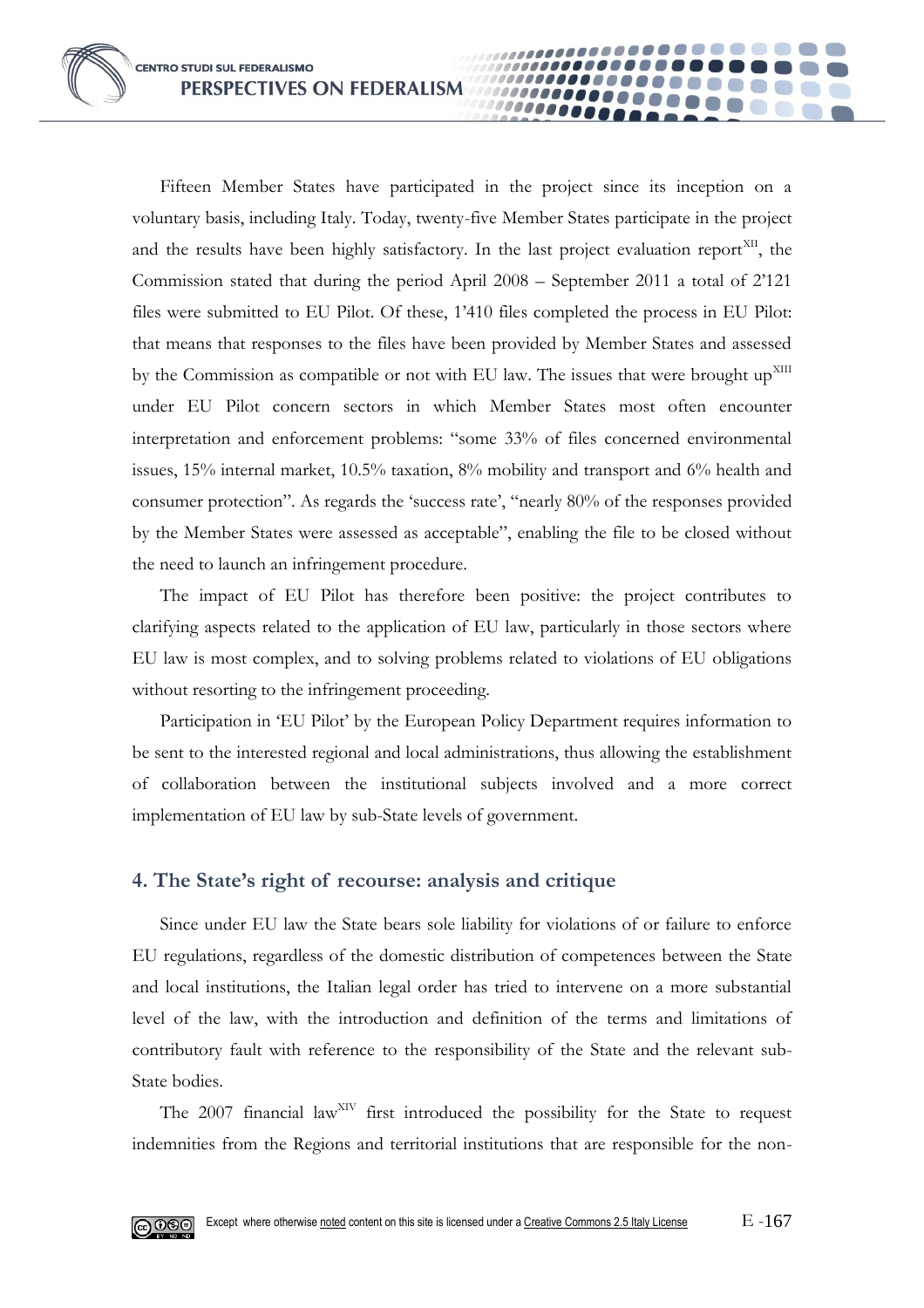Fifteen Member States have participated in the project since its inception on a voluntary basis, including Italy. Today, twenty-five Member States participate in the project and the results have been highly satisfactory. In the last project evaluation report<sup>xII</sup>, the Commission stated that during the period April 2008 – September 2011 a total of 2'121 files were submitted to EU Pilot. Of these, 1'410 files completed the process in EU Pilot: that means that responses to the files have been provided by Member States and assessed by the Commission as compatible or not with EU law. The issues that were brought up<sup>XIII</sup> under EU Pilot concern sectors in which Member States most often encounter interpretation and enforcement problems: "some 33% of files concerned environmental issues, 15% internal market, 10.5% taxation, 8% mobility and transport and 6% health and consumer protection". As regards the 'success rate', "nearly 80% of the responses provided by the Member States were assessed as acceptable", enabling the file to be closed without the need to launch an infringement procedure.

**10000** 

The impact of EU Pilot has therefore been positive: the project contributes to clarifying aspects related to the application of EU law, particularly in those sectors where EU law is most complex, and to solving problems related to violations of EU obligations without resorting to the infringement proceeding.

Participation in 'EU Pilot' by the European Policy Department requires information to be sent to the interested regional and local administrations, thus allowing the establishment of collaboration between the institutional subjects involved and a more correct implementation of EU law by sub-State levels of government.

## **4. The State's right of recourse: analysis and critique**

Since under EU law the State bears sole liability for violations of or failure to enforce EU regulations, regardless of the domestic distribution of competences between the State and local institutions, the Italian legal order has tried to intervene on a more substantial level of the law, with the introduction and definition of the terms and limitations of contributory fault with reference to the responsibility of the State and the relevant sub-State bodies.

The  $2007$  financial law<sup>XIV</sup> first introduced the possibility for the State to request indemnities from the Regions and territorial institutions that are responsible for the non-

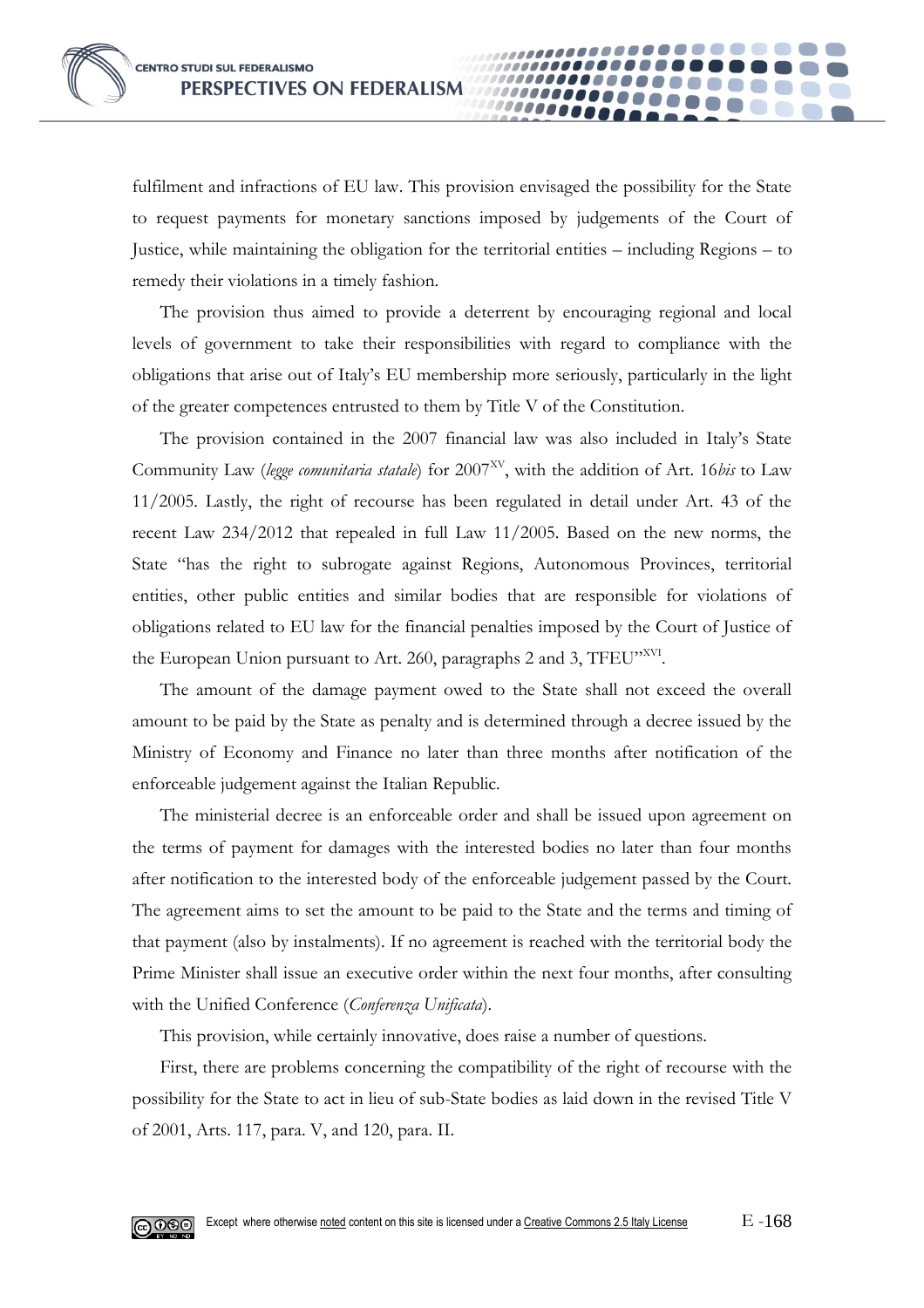fulfilment and infractions of EU law. This provision envisaged the possibility for the State to request payments for monetary sanctions imposed by judgements of the Court of Justice, while maintaining the obligation for the territorial entities – including Regions – to remedy their violations in a timely fashion.

10000

The provision thus aimed to provide a deterrent by encouraging regional and local levels of government to take their responsibilities with regard to compliance with the obligations that arise out of Italy's EU membership more seriously, particularly in the light of the greater competences entrusted to them by Title V of the Constitution.

The provision contained in the 2007 financial law was also included in Italy's State Community Law (legge comunitaria statale) for 2007<sup>XV</sup>, with the addition of Art. 16*bis* to Law 11/2005. Lastly, the right of recourse has been regulated in detail under Art. 43 of the recent Law 234/2012 that repealed in full Law 11/2005. Based on the new norms, the State "has the right to subrogate against Regions, Autonomous Provinces, territorial entities, other public entities and similar bodies that are responsible for violations of obligations related to EU law for the financial penalties imposed by the Court of Justice of the European Union pursuant to Art. 260, paragraphs 2 and 3, TFEU"XVI.

The amount of the damage payment owed to the State shall not exceed the overall amount to be paid by the State as penalty and is determined through a decree issued by the Ministry of Economy and Finance no later than three months after notification of the enforceable judgement against the Italian Republic.

The ministerial decree is an enforceable order and shall be issued upon agreement on the terms of payment for damages with the interested bodies no later than four months after notification to the interested body of the enforceable judgement passed by the Court. The agreement aims to set the amount to be paid to the State and the terms and timing of that payment (also by instalments). If no agreement is reached with the territorial body the Prime Minister shall issue an executive order within the next four months, after consulting with the Unified Conference (*Conferenza Unificata*).

This provision, while certainly innovative, does raise a number of questions.

First, there are problems concerning the compatibility of the right of recourse with the possibility for the State to act in lieu of sub-State bodies as laid down in the revised Title V of 2001, Arts. 117, para. V, and 120, para. II.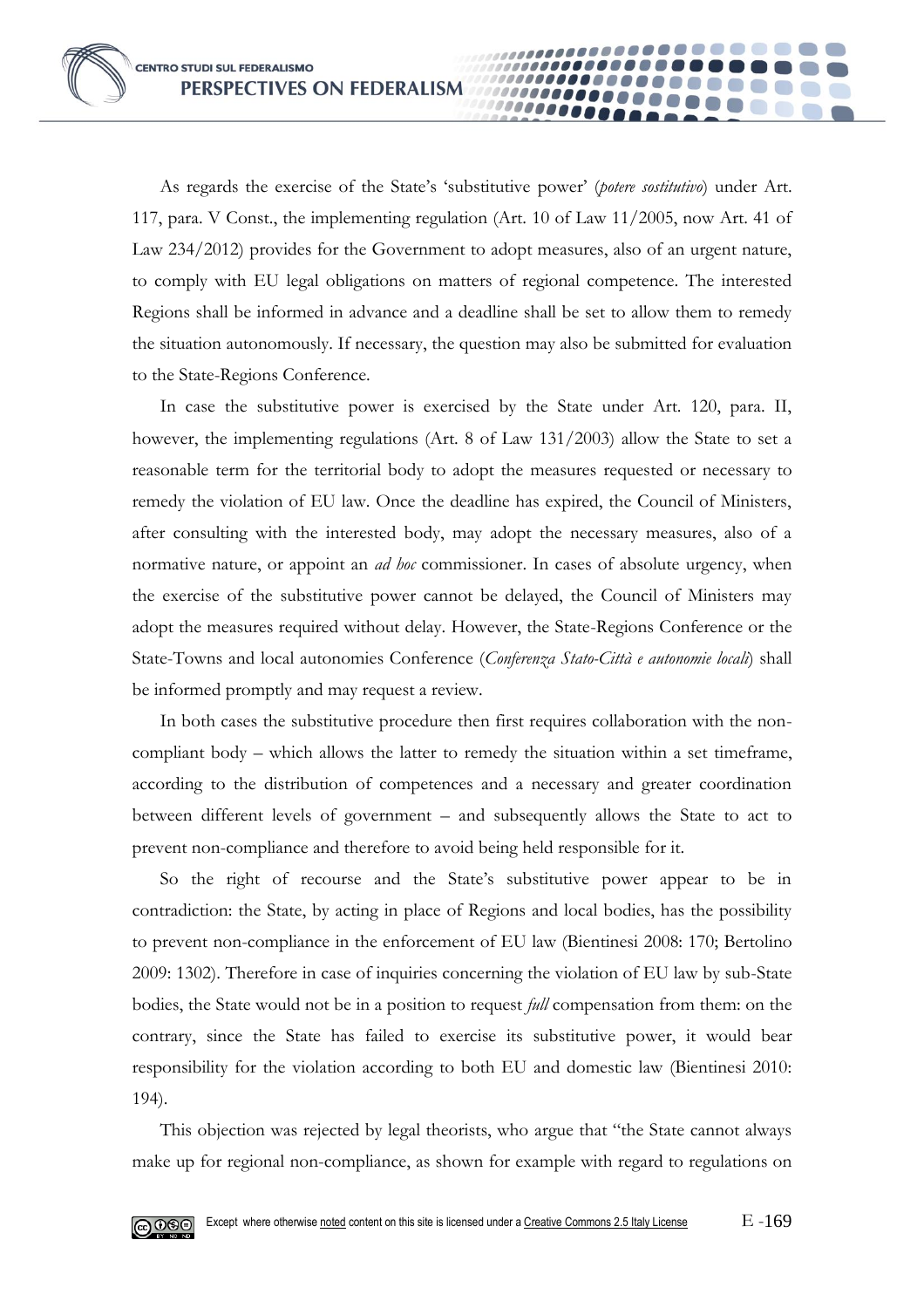As regards the exercise of the State's 'substitutive power' (*potere sostitutivo*) under Art. 117, para. V Const., the implementing regulation (Art. 10 of Law 11/2005, now Art. 41 of Law 234/2012) provides for the Government to adopt measures, also of an urgent nature, to comply with EU legal obligations on matters of regional competence. The interested Regions shall be informed in advance and a deadline shall be set to allow them to remedy the situation autonomously. If necessary, the question may also be submitted for evaluation to the State-Regions Conference.

00000

In case the substitutive power is exercised by the State under Art. 120, para. II, however, the implementing regulations (Art. 8 of Law 131/2003) allow the State to set a reasonable term for the territorial body to adopt the measures requested or necessary to remedy the violation of EU law. Once the deadline has expired, the Council of Ministers, after consulting with the interested body, may adopt the necessary measures, also of a normative nature, or appoint an *ad hoc* commissioner. In cases of absolute urgency, when the exercise of the substitutive power cannot be delayed, the Council of Ministers may adopt the measures required without delay. However, the State-Regions Conference or the State-Towns and local autonomies Conference (*Conferenza Stato-Città e autonomie locali*) shall be informed promptly and may request a review.

In both cases the substitutive procedure then first requires collaboration with the noncompliant body – which allows the latter to remedy the situation within a set timeframe, according to the distribution of competences and a necessary and greater coordination between different levels of government – and subsequently allows the State to act to prevent non-compliance and therefore to avoid being held responsible for it.

So the right of recourse and the State's substitutive power appear to be in contradiction: the State, by acting in place of Regions and local bodies, has the possibility to prevent non-compliance in the enforcement of EU law (Bientinesi 2008: 170; Bertolino 2009: 1302). Therefore in case of inquiries concerning the violation of EU law by sub-State bodies, the State would not be in a position to request *full* compensation from them: on the contrary, since the State has failed to exercise its substitutive power, it would bear responsibility for the violation according to both EU and domestic law (Bientinesi 2010: 194).

This objection was rejected by legal theorists, who argue that "the State cannot always make up for regional non-compliance, as shown for example with regard to regulations on

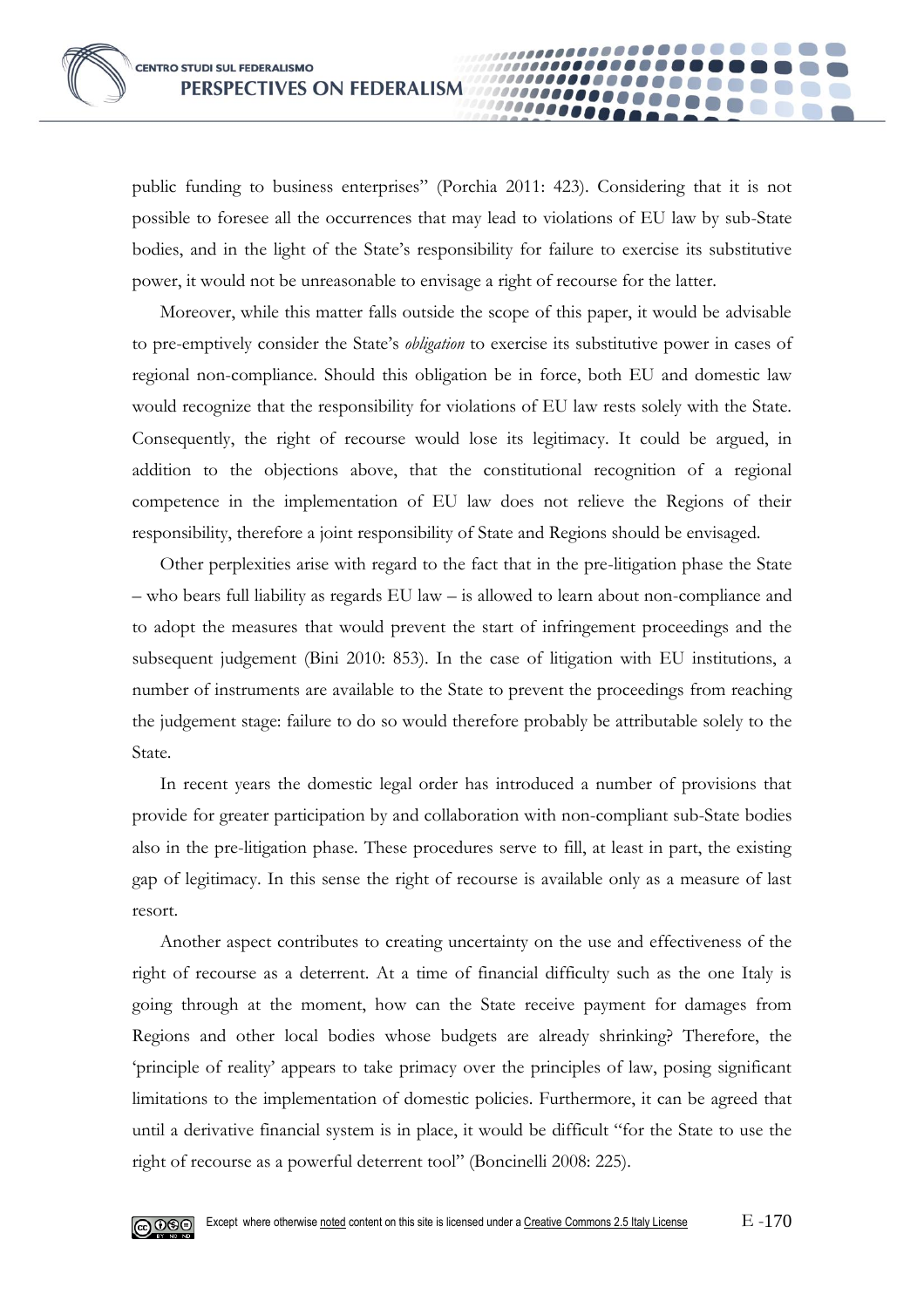public funding to business enterprises" (Porchia 2011: 423). Considering that it is not possible to foresee all the occurrences that may lead to violations of EU law by sub-State bodies, and in the light of the State's responsibility for failure to exercise its substitutive power, it would not be unreasonable to envisage a right of recourse for the latter.

00000

Moreover, while this matter falls outside the scope of this paper, it would be advisable to pre-emptively consider the State's *obligation* to exercise its substitutive power in cases of regional non-compliance. Should this obligation be in force, both EU and domestic law would recognize that the responsibility for violations of EU law rests solely with the State. Consequently, the right of recourse would lose its legitimacy. It could be argued, in addition to the objections above, that the constitutional recognition of a regional competence in the implementation of EU law does not relieve the Regions of their responsibility, therefore a joint responsibility of State and Regions should be envisaged.

Other perplexities arise with regard to the fact that in the pre-litigation phase the State – who bears full liability as regards EU law – is allowed to learn about non-compliance and to adopt the measures that would prevent the start of infringement proceedings and the subsequent judgement (Bini 2010: 853). In the case of litigation with EU institutions, a number of instruments are available to the State to prevent the proceedings from reaching the judgement stage: failure to do so would therefore probably be attributable solely to the State.

In recent years the domestic legal order has introduced a number of provisions that provide for greater participation by and collaboration with non-compliant sub-State bodies also in the pre-litigation phase. These procedures serve to fill, at least in part, the existing gap of legitimacy. In this sense the right of recourse is available only as a measure of last resort.

Another aspect contributes to creating uncertainty on the use and effectiveness of the right of recourse as a deterrent. At a time of financial difficulty such as the one Italy is going through at the moment, how can the State receive payment for damages from Regions and other local bodies whose budgets are already shrinking? Therefore, the 'principle of reality' appears to take primacy over the principles of law, posing significant limitations to the implementation of domestic policies. Furthermore, it can be agreed that until a derivative financial system is in place, it would be difficult "for the State to use the right of recourse as a powerful deterrent tool" (Boncinelli 2008: 225).

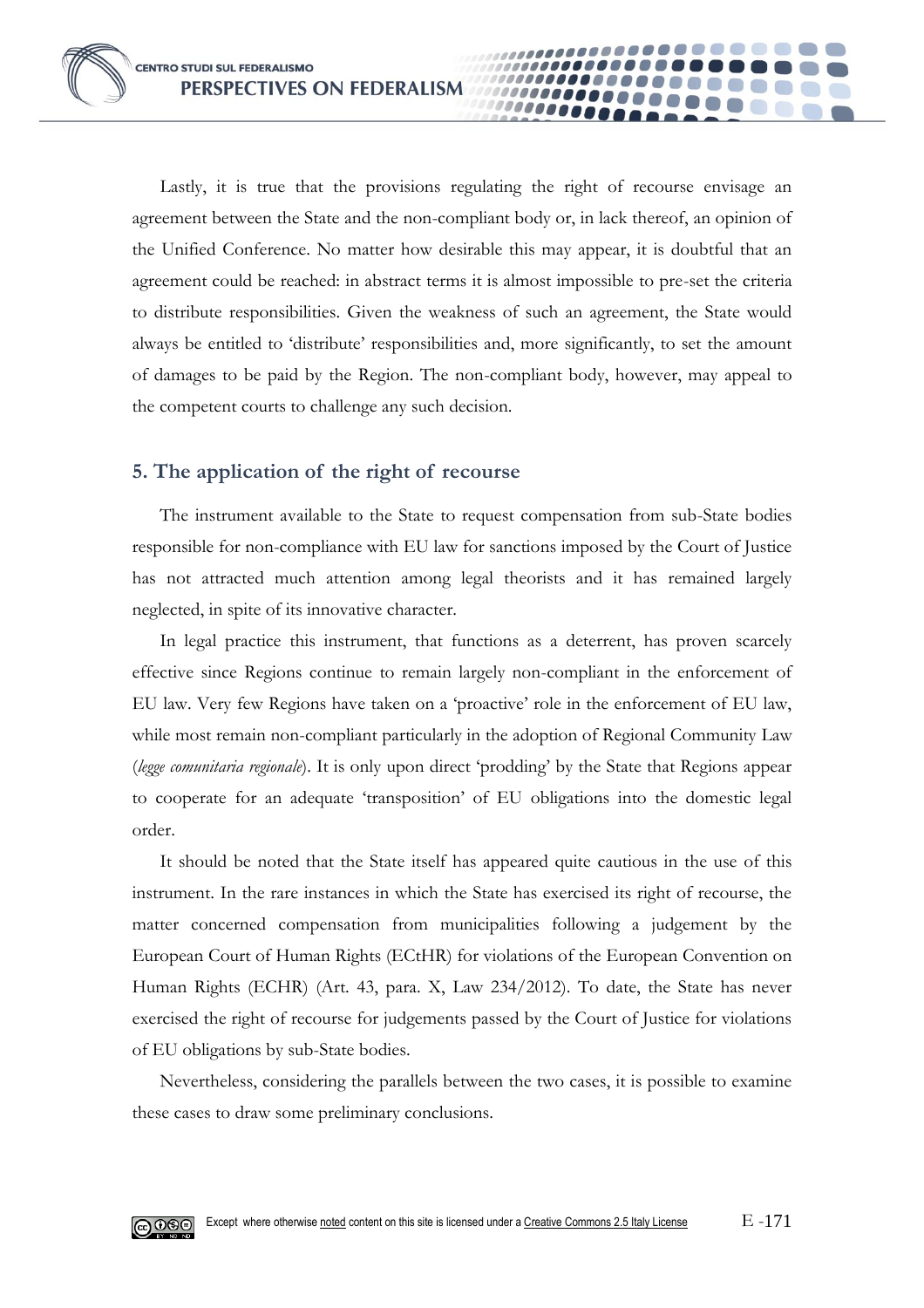Lastly, it is true that the provisions regulating the right of recourse envisage an agreement between the State and the non-compliant body or, in lack thereof, an opinion of the Unified Conference. No matter how desirable this may appear, it is doubtful that an agreement could be reached: in abstract terms it is almost impossible to pre-set the criteria to distribute responsibilities. Given the weakness of such an agreement, the State would always be entitled to 'distribute' responsibilities and, more significantly, to set the amount of damages to be paid by the Region. The non-compliant body, however, may appeal to the competent courts to challenge any such decision.

**0000** 

## **5. The application of the right of recourse**

The instrument available to the State to request compensation from sub-State bodies responsible for non-compliance with EU law for sanctions imposed by the Court of Justice has not attracted much attention among legal theorists and it has remained largely neglected, in spite of its innovative character.

In legal practice this instrument, that functions as a deterrent, has proven scarcely effective since Regions continue to remain largely non-compliant in the enforcement of EU law. Very few Regions have taken on a 'proactive' role in the enforcement of EU law, while most remain non-compliant particularly in the adoption of Regional Community Law (*legge comunitaria regionale*). It is only upon direct 'prodding' by the State that Regions appear to cooperate for an adequate 'transposition' of EU obligations into the domestic legal order.

It should be noted that the State itself has appeared quite cautious in the use of this instrument. In the rare instances in which the State has exercised its right of recourse, the matter concerned compensation from municipalities following a judgement by the European Court of Human Rights (ECtHR) for violations of the European Convention on Human Rights (ECHR) (Art. 43, para. X, Law 234/2012). To date, the State has never exercised the right of recourse for judgements passed by the Court of Justice for violations of EU obligations by sub-State bodies.

Nevertheless, considering the parallels between the two cases, it is possible to examine these cases to draw some preliminary conclusions.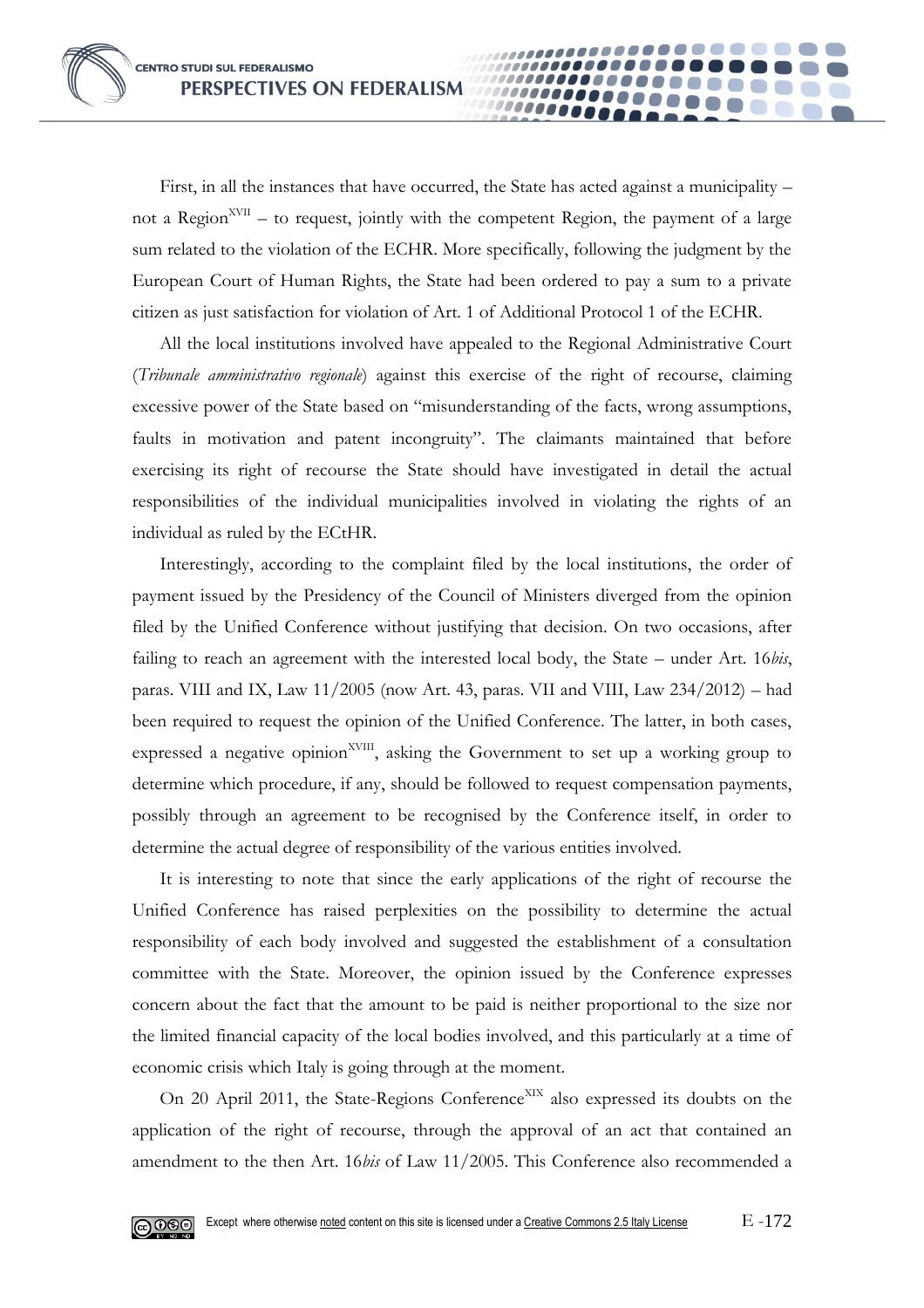First, in all the instances that have occurred, the State has acted against a municipality – not a Region<sup>XVII</sup> – to request, jointly with the competent Region, the payment of a large sum related to the violation of the ECHR. More specifically, following the judgment by the European Court of Human Rights, the State had been ordered to pay a sum to a private citizen as just satisfaction for violation of Art. 1 of Additional Protocol 1 of the ECHR.

00000

All the local institutions involved have appealed to the Regional Administrative Court (*Tribunale amministrativo regionale*) against this exercise of the right of recourse, claiming excessive power of the State based on "misunderstanding of the facts, wrong assumptions, faults in motivation and patent incongruity". The claimants maintained that before exercising its right of recourse the State should have investigated in detail the actual responsibilities of the individual municipalities involved in violating the rights of an individual as ruled by the ECtHR.

Interestingly, according to the complaint filed by the local institutions, the order of payment issued by the Presidency of the Council of Ministers diverged from the opinion filed by the Unified Conference without justifying that decision. On two occasions, after failing to reach an agreement with the interested local body, the State – under Art. 16*bis*, paras. VIII and IX, Law  $11/2005$  (now Art. 43, paras. VII and VIII, Law  $234/2012$ ) – had been required to request the opinion of the Unified Conference. The latter, in both cases, expressed a negative opinion<sup>XVIII</sup>, asking the Government to set up a working group to determine which procedure, if any, should be followed to request compensation payments, possibly through an agreement to be recognised by the Conference itself, in order to determine the actual degree of responsibility of the various entities involved.

It is interesting to note that since the early applications of the right of recourse the Unified Conference has raised perplexities on the possibility to determine the actual responsibility of each body involved and suggested the establishment of a consultation committee with the State. Moreover, the opinion issued by the Conference expresses concern about the fact that the amount to be paid is neither proportional to the size nor the limited financial capacity of the local bodies involved, and this particularly at a time of economic crisis which Italy is going through at the moment.

On 20 April 2011, the State-Regions Conference<sup>XIX</sup> also expressed its doubts on the application of the right of recourse, through the approval of an act that contained an amendment to the then Art. 16*bis* of Law 11/2005. This Conference also recommended a

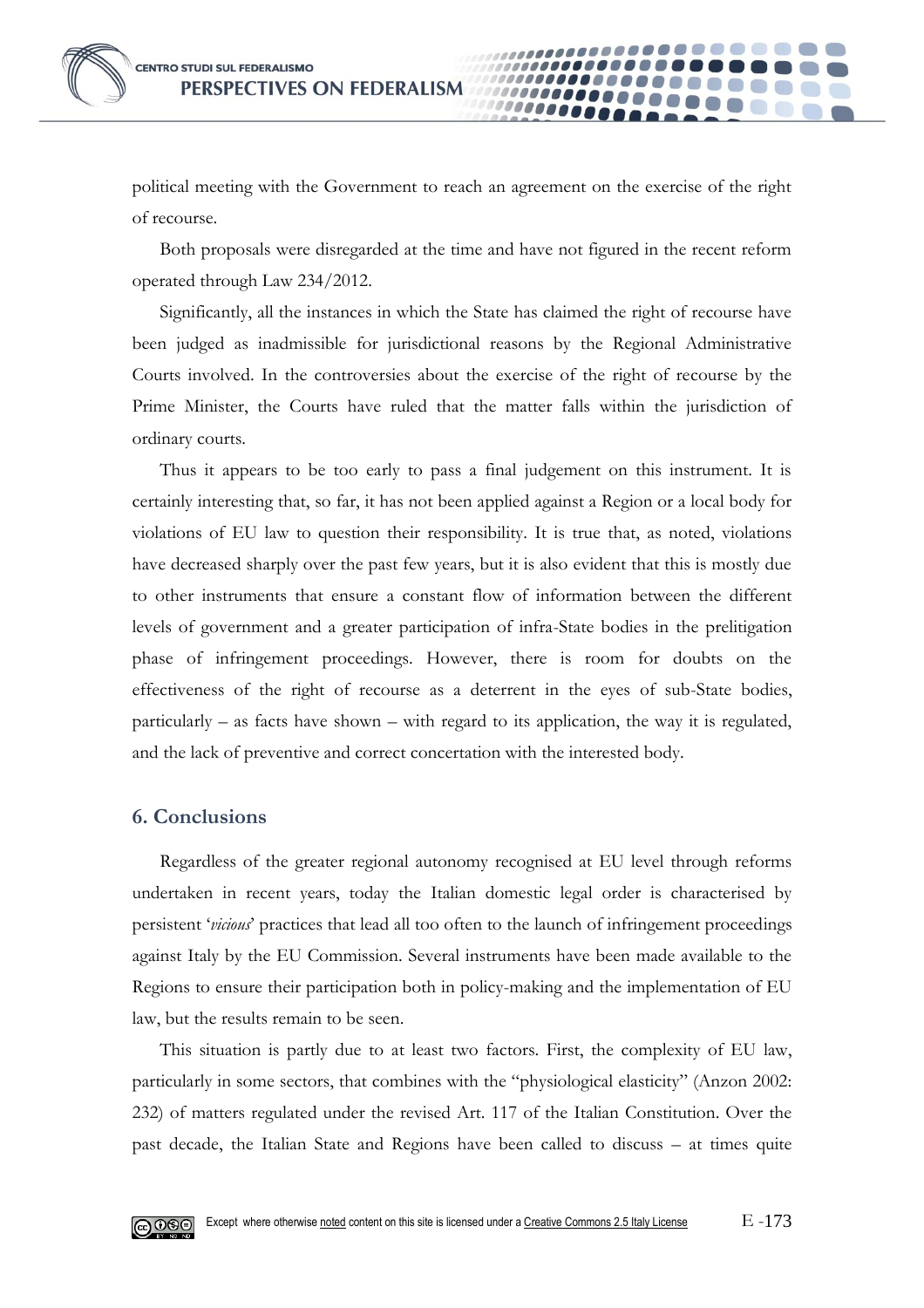political meeting with the Government to reach an agreement on the exercise of the right of recourse.

**0000** 

Both proposals were disregarded at the time and have not figured in the recent reform operated through Law 234/2012.

Significantly, all the instances in which the State has claimed the right of recourse have been judged as inadmissible for jurisdictional reasons by the Regional Administrative Courts involved. In the controversies about the exercise of the right of recourse by the Prime Minister, the Courts have ruled that the matter falls within the jurisdiction of ordinary courts.

Thus it appears to be too early to pass a final judgement on this instrument. It is certainly interesting that, so far, it has not been applied against a Region or a local body for violations of EU law to question their responsibility. It is true that, as noted, violations have decreased sharply over the past few years, but it is also evident that this is mostly due to other instruments that ensure a constant flow of information between the different levels of government and a greater participation of infra-State bodies in the prelitigation phase of infringement proceedings. However, there is room for doubts on the effectiveness of the right of recourse as a deterrent in the eyes of sub-State bodies, particularly – as facts have shown – with regard to its application, the way it is regulated, and the lack of preventive and correct concertation with the interested body.

## **6. Conclusions**

Regardless of the greater regional autonomy recognised at EU level through reforms undertaken in recent years, today the Italian domestic legal order is characterised by persistent '*vicious*' practices that lead all too often to the launch of infringement proceedings against Italy by the EU Commission. Several instruments have been made available to the Regions to ensure their participation both in policy-making and the implementation of EU law, but the results remain to be seen.

This situation is partly due to at least two factors. First, the complexity of EU law, particularly in some sectors, that combines with the "physiological elasticity" (Anzon 2002: 232) of matters regulated under the revised Art. 117 of the Italian Constitution. Over the past decade, the Italian State and Regions have been called to discuss – at times quite

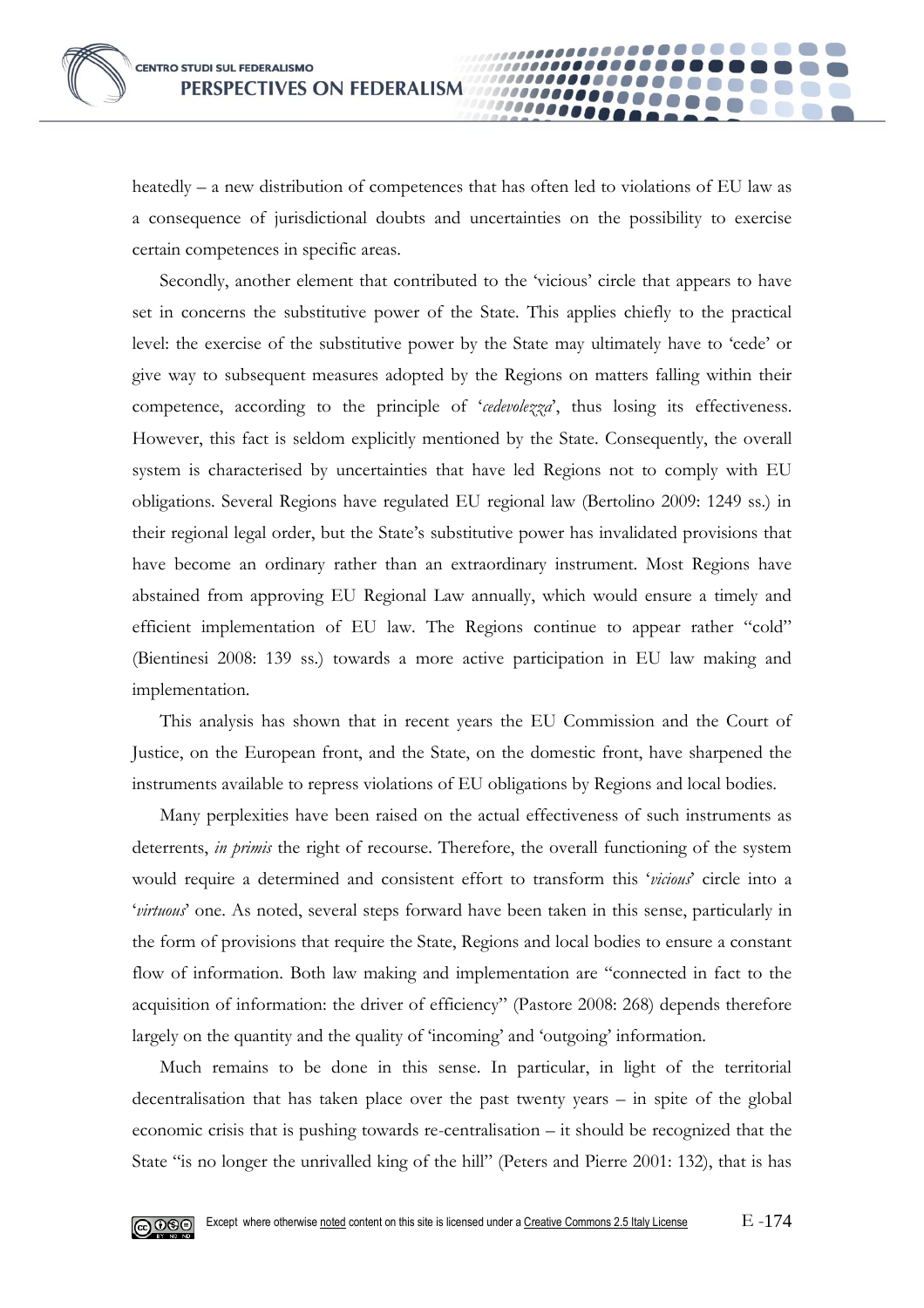

heatedly – a new distribution of competences that has often led to violations of EU law as a consequence of jurisdictional doubts and uncertainties on the possibility to exercise certain competences in specific areas.

10000

Secondly, another element that contributed to the 'vicious' circle that appears to have set in concerns the substitutive power of the State. This applies chiefly to the practical level: the exercise of the substitutive power by the State may ultimately have to 'cede' or give way to subsequent measures adopted by the Regions on matters falling within their competence, according to the principle of '*cedevolezza*', thus losing its effectiveness. However, this fact is seldom explicitly mentioned by the State. Consequently, the overall system is characterised by uncertainties that have led Regions not to comply with EU obligations. Several Regions have regulated EU regional law (Bertolino 2009: 1249 ss.) in their regional legal order, but the State's substitutive power has invalidated provisions that have become an ordinary rather than an extraordinary instrument. Most Regions have abstained from approving EU Regional Law annually, which would ensure a timely and efficient implementation of EU law. The Regions continue to appear rather "cold" (Bientinesi 2008: 139 ss.) towards a more active participation in EU law making and implementation.

This analysis has shown that in recent years the EU Commission and the Court of Justice, on the European front, and the State, on the domestic front, have sharpened the instruments available to repress violations of EU obligations by Regions and local bodies.

Many perplexities have been raised on the actual effectiveness of such instruments as deterrents, *in primis* the right of recourse. Therefore, the overall functioning of the system would require a determined and consistent effort to transform this '*vicious*' circle into a '*virtuous*' one. As noted, several steps forward have been taken in this sense, particularly in the form of provisions that require the State, Regions and local bodies to ensure a constant flow of information. Both law making and implementation are "connected in fact to the acquisition of information: the driver of efficiency" (Pastore 2008: 268) depends therefore largely on the quantity and the quality of 'incoming' and 'outgoing' information.

Much remains to be done in this sense. In particular, in light of the territorial decentralisation that has taken place over the past twenty years – in spite of the global economic crisis that is pushing towards re-centralisation – it should be recognized that the State "is no longer the unrivalled king of the hill" (Peters and Pierre 2001: 132), that is has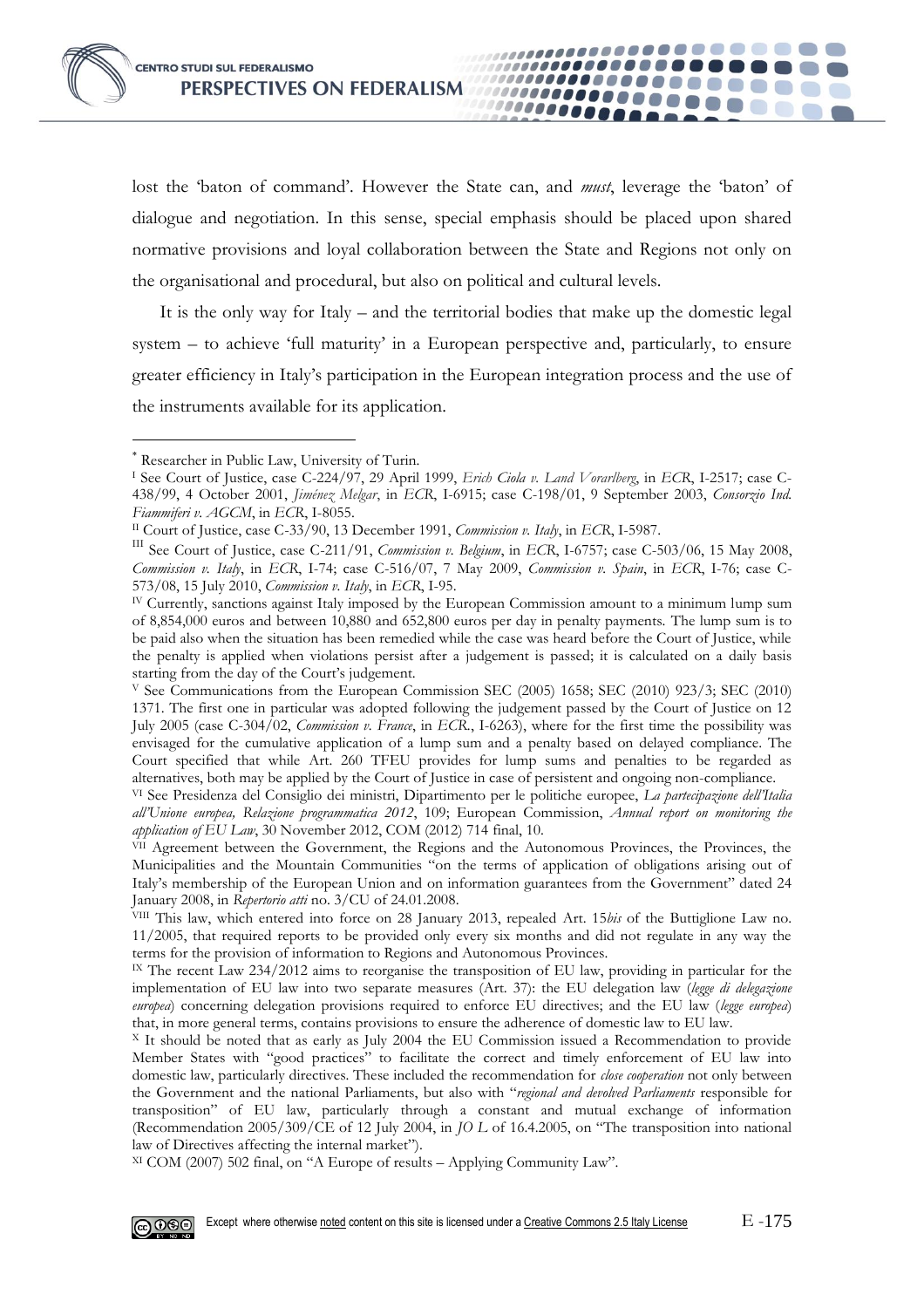lost the 'baton of command'. However the State can, and *must*, leverage the 'baton' of dialogue and negotiation. In this sense, special emphasis should be placed upon shared normative provisions and loyal collaboration between the State and Regions not only on the organisational and procedural, but also on political and cultural levels.

100000000000000000

...............

000000000

,,,,,,,,,,,,,,,,

,,,,,,,,,,,,,,,,,,,,

It is the only way for Italy – and the territorial bodies that make up the domestic legal system – to achieve 'full maturity' in a European perspective and, particularly, to ensure greater efficiency in Italy's participation in the European integration process and the use of the instruments available for its application.

-

XI COM (2007) 502 final, on "A Europe of results – Applying Community Law".



Researcher in Public Law, University of Turin.

<sup>I</sup> See Court of Justice, case C-224/97, 29 April 1999, *Erich Ciola v. Land Vorarlberg*, in *ECR*, I-2517; case C-438/99, 4 October 2001, *Jiménez Melgar*, in *ECR*, I-6915; case C-198/01, 9 September 2003, *Consorzio Ind. Fiammiferi v. AGCM*, in *ECR*, I-8055.

II Court of Justice, case C-33/90, 13 December 1991, *Commission v. Italy*, in *ECR*, I-5987.

III See Court of Justice, case C-211/91, *Commission v. Belgium*, in *ECR*, I-6757; case C-503/06, 15 May 2008, *Commission v. Italy*, in *ECR*, I-74; case C-516/07, 7 May 2009, *Commission v. Spain*, in *ECR*, I-76; case C-573/08, 15 July 2010, *Commission v. Italy*, in *ECR*, I-95.

IV Currently, sanctions against Italy imposed by the European Commission amount to a minimum lump sum of 8,854,000 euros and between 10,880 and 652,800 euros per day in penalty payments. The lump sum is to be paid also when the situation has been remedied while the case was heard before the Court of Justice, while the penalty is applied when violations persist after a judgement is passed; it is calculated on a daily basis starting from the day of the Court's judgement.

<sup>V</sup> See Communications from the European Commission SEC (2005) 1658; SEC (2010) 923/3; SEC (2010) 1371. The first one in particular was adopted following the judgement passed by the Court of Justice on 12 July 2005 (case C-304/02, *Commission v. France*, in *ECR.*, I-6263), where for the first time the possibility was envisaged for the cumulative application of a lump sum and a penalty based on delayed compliance. The Court specified that while Art. 260 TFEU provides for lump sums and penalties to be regarded as alternatives, both may be applied by the Court of Justice in case of persistent and ongoing non-compliance.

VI See Presidenza del Consiglio dei ministri, Dipartimento per le politiche europee, *La partecipazione dell'Italia all'Unione europea, Relazione programmatica 2012*, 109; European Commission, *Annual report on monitoring the application of EU Law*, 30 November 2012, COM (2012) 714 final, 10.

VII Agreement between the Government, the Regions and the Autonomous Provinces, the Provinces, the Municipalities and the Mountain Communities "on the terms of application of obligations arising out of Italy's membership of the European Union and on information guarantees from the Government" dated 24 January 2008, in *Repertorio atti* no. 3/CU of 24.01.2008.

VIII This law, which entered into force on 28 January 2013, repealed Art. 15*bis* of the Buttiglione Law no. 11/2005, that required reports to be provided only every six months and did not regulate in any way the terms for the provision of information to Regions and Autonomous Provinces.

IX The recent Law 234/2012 aims to reorganise the transposition of EU law, providing in particular for the implementation of EU law into two separate measures (Art. 37): the EU delegation law (*legge di delegazione europea*) concerning delegation provisions required to enforce EU directives; and the EU law (*legge europea*) that, in more general terms, contains provisions to ensure the adherence of domestic law to EU law.

<sup>X</sup> It should be noted that as early as July 2004 the EU Commission issued a Recommendation to provide Member States with "good practices" to facilitate the correct and timely enforcement of EU law into domestic law, particularly directives. These included the recommendation for *close cooperation* not only between the Government and the national Parliaments, but also with "*regional and devolved Parliaments* responsible for transposition" of EU law, particularly through a constant and mutual exchange of information (Recommendation 2005/309/CE of 12 July 2004, in *JO L* of 16.4.2005, on "The transposition into national law of Directives affecting the internal market").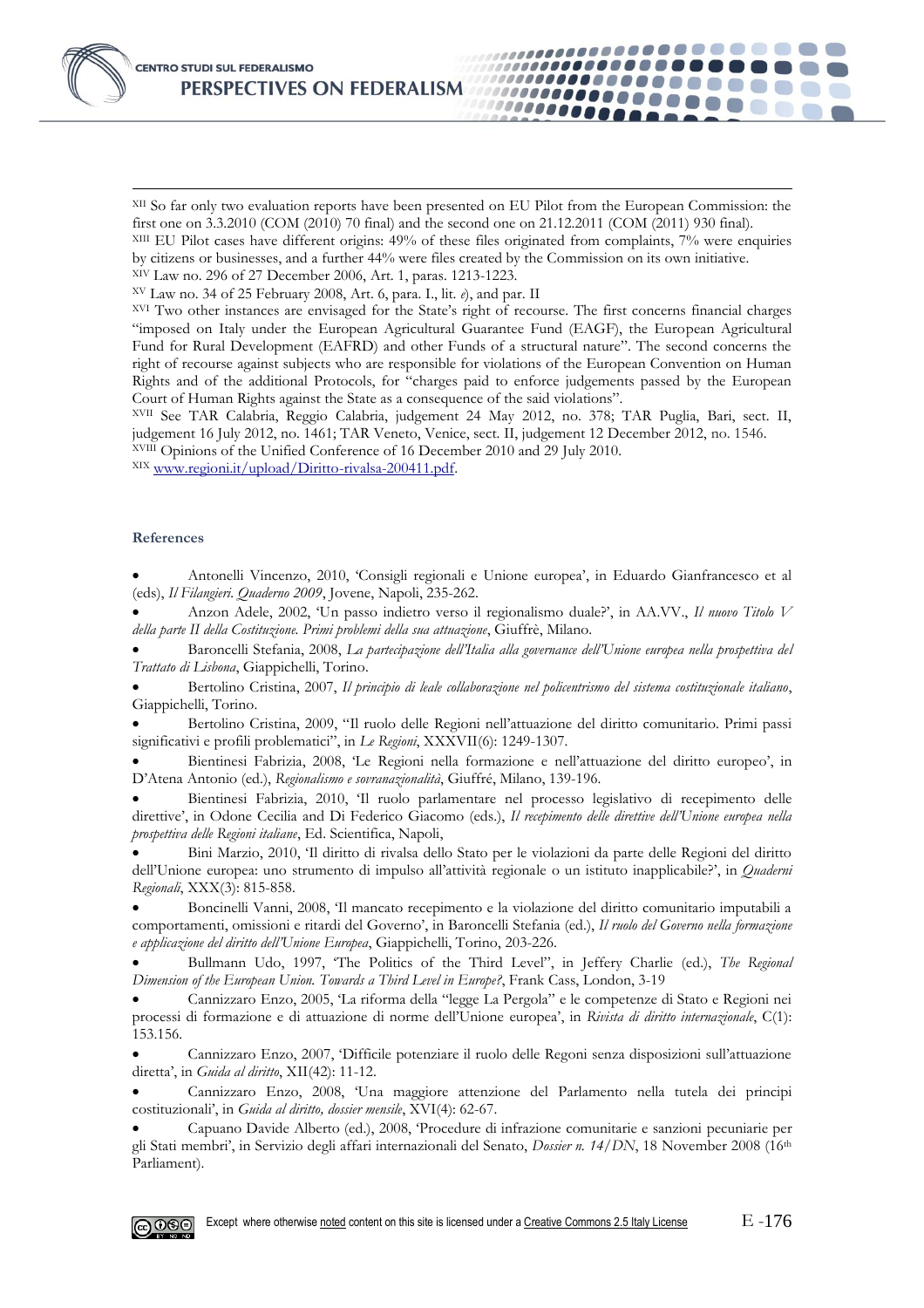XII So far only two evaluation reports have been presented on EU Pilot from the European Commission: the first one on 3.3.2010 (COM (2010) 70 final) and the second one on 21.12.2011 (COM (2011) 930 final).

,,,,,,,,,,,,,,,,,,,,,,,

,,,,,,,,,,,,,,,, ,,,,,,,,,,,,,,,,

1000000000

,,,,,,,,,,,,,,,,,,,,

XIII EU Pilot cases have different origins: 49% of these files originated from complaints, 7% were enquiries by citizens or businesses, and a further 44% were files created by the Commission on its own initiative.

XIV Law no. 296 of 27 December 2006, Art. 1, paras. 1213-1223.

XV Law no. 34 of 25 February 2008, Art. 6, para. I., lit. *e*), and par. II

XVI Two other instances are envisaged for the State's right of recourse. The first concerns financial charges "imposed on Italy under the European Agricultural Guarantee Fund (EAGF), the European Agricultural Fund for Rural Development (EAFRD) and other Funds of a structural nature". The second concerns the right of recourse against subjects who are responsible for violations of the European Convention on Human Rights and of the additional Protocols, for "charges paid to enforce judgements passed by the European Court of Human Rights against the State as a consequence of the said violations".

XVII See TAR Calabria, Reggio Calabria, judgement 24 May 2012, no. 378; TAR Puglia, Bari, sect. II, judgement 16 July 2012, no. 1461; TAR Veneto, Venice, sect. II, judgement 12 December 2012, no. 1546. XVIII Opinions of the Unified Conference of 16 December 2010 and 29 July 2010.

XIX [www.regioni.it/upload/Diritto-rivalsa-200411.pdf.](http://www.regioni.it/upload/Diritto-rivalsa-200411.pdf)

#### **References**

-

 Antonelli Vincenzo, 2010, 'Consigli regionali e Unione europea', in Eduardo Gianfrancesco et al (eds), *Il Filangieri. Quaderno 2009*, Jovene, Napoli, 235-262.

 Anzon Adele, 2002, 'Un passo indietro verso il regionalismo duale?', in AA.VV., *Il nuovo Titolo V della parte II della Costituzione. Primi problemi della sua attuazione*, Giuffrè, Milano.

 Baroncelli Stefania, 2008, *La partecipazione dell'Italia alla governance dell'Unione europea nella prospettiva del Trattato di Lisbona*, Giappichelli, Torino.

 Bertolino Cristina, 2007, *Il principio di leale collaborazione nel policentrismo del sistema costituzionale italiano*, Giappichelli, Torino.

 Bertolino Cristina, 2009, "Il ruolo delle Regioni nell'attuazione del diritto comunitario. Primi passi significativi e profili problematici", in *Le Regioni*, XXXVII(6): 1249-1307.

 Bientinesi Fabrizia, 2008, 'Le Regioni nella formazione e nell'attuazione del diritto europeo', in D'Atena Antonio (ed.), *Regionalismo e sovranazionalità*, Giuffré, Milano, 139-196.

 Bientinesi Fabrizia, 2010, 'Il ruolo parlamentare nel processo legislativo di recepimento delle direttive', in Odone Cecilia and Di Federico Giacomo (eds.), *Il recepimento delle direttive dell'Unione europea nella prospettiva delle Regioni italiane*, Ed. Scientifica, Napoli,

 Bini Marzio, 2010, 'Il diritto di rivalsa dello Stato per le violazioni da parte delle Regioni del diritto dell'Unione europea: uno strumento di impulso all'attività regionale o un istituto inapplicabile?', in *Quaderni Regionali*, XXX(3): 815-858.

 Boncinelli Vanni, 2008, 'Il mancato recepimento e la violazione del diritto comunitario imputabili a comportamenti, omissioni e ritardi del Governo', in Baroncelli Stefania (ed.), *Il ruolo del Governo nella formazione e applicazione del diritto dell'Unione Europea*, Giappichelli, Torino, 203-226.

 Bullmann Udo, 1997, 'The Politics of the Third Level", in Jeffery Charlie (ed.), *The Regional Dimension of the European Union. Towards a Third Level in Europe?*, Frank Cass, London, 3-19

 Cannizzaro Enzo, 2005, 'La riforma della "legge La Pergola" e le competenze di Stato e Regioni nei processi di formazione e di attuazione di norme dell'Unione europea', in *Rivista di diritto internazionale*, C(1): 153.156.

 Cannizzaro Enzo, 2007, 'Difficile potenziare il ruolo delle Regoni senza disposizioni sull'attuazione diretta', in *Guida al diritto*, XII(42): 11-12.

 Cannizzaro Enzo, 2008, 'Una maggiore attenzione del Parlamento nella tutela dei principi costituzionali', in *Guida al diritto, dossier mensile*, XVI(4): 62-67.

 Capuano Davide Alberto (ed.), 2008, 'Procedure di infrazione comunitarie e sanzioni pecuniarie per gli Stati membri', in Servizio degli affari internazionali del Senato, *Dossier n. 14/DN*, 18 November 2008 (16th Parliament).